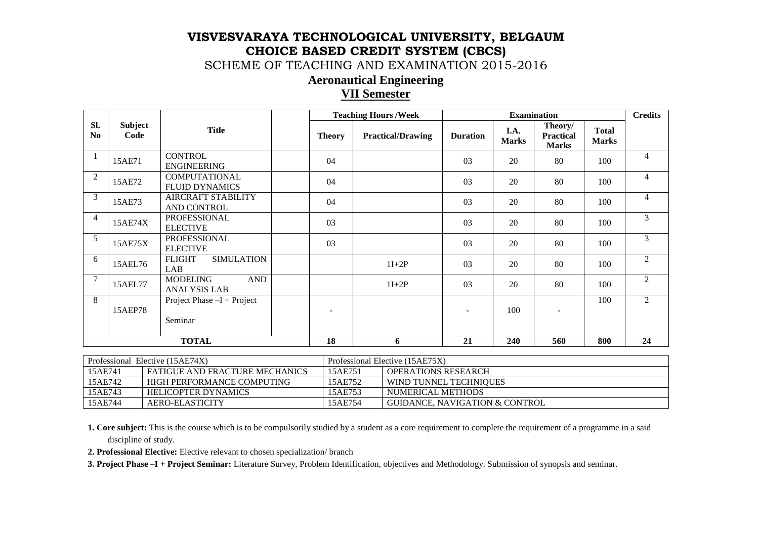SCHEME OF TEACHING AND EXAMINATION 2015-2016

### **Aeronautical Engineering**

### **VII Semester**

|                       |                        | <b>Teaching Hours / Week</b>                         |               | <b>Examination</b>       |                 |                      |                                             | <b>Credits</b>               |                |
|-----------------------|------------------------|------------------------------------------------------|---------------|--------------------------|-----------------|----------------------|---------------------------------------------|------------------------------|----------------|
| Sl.<br>N <sub>0</sub> | <b>Subject</b><br>Code | <b>Title</b>                                         | <b>Theory</b> | <b>Practical/Drawing</b> | <b>Duration</b> | I.A.<br><b>Marks</b> | Theory/<br><b>Practical</b><br><b>Marks</b> | <b>Total</b><br><b>Marks</b> |                |
|                       | 15AE71                 | <b>CONTROL</b><br><b>ENGINEERING</b>                 | 04            |                          | 03              | 20                   | 80                                          | 100                          | 4              |
| $\overline{2}$        | 15AE72                 | <b>COMPUTATIONAL</b><br><b>FLUID DYNAMICS</b>        | 04            |                          | 03              | 20                   | 80                                          | 100                          | $\overline{4}$ |
| 3                     | 15AE73                 | AIRCRAFT STABILITY<br>AND CONTROL                    | 04            |                          | 03              | 20                   | 80                                          | 100                          | $\overline{4}$ |
| $\overline{4}$        | 15AE74X                | <b>PROFESSIONAL</b><br><b>ELECTIVE</b>               | 03            |                          | 03              | 20                   | 80                                          | 100                          | $\mathfrak{Z}$ |
| 5                     | 15AE75X                | <b>PROFESSIONAL</b><br><b>ELECTIVE</b>               | 03            |                          | 03              | 20                   | 80                                          | 100                          | 3              |
| 6                     | 15AEL76                | <b>FLIGHT</b><br><b>SIMULATION</b><br>LAB            |               | $1I+2P$                  | 03              | 20                   | 80                                          | 100                          | $\overline{c}$ |
| $\overline{7}$        | 15AEL77                | <b>AND</b><br><b>MODELING</b><br><b>ANALYSIS LAB</b> |               | $1I+2P$                  | 03              | 20                   | 80                                          | 100                          | $\overline{c}$ |
| 8                     | 15AEP78                | Project Phase $-I + Project$<br>Seminar              |               |                          |                 | 100                  |                                             | 100                          | 2              |
|                       |                        | <b>TOTAL</b>                                         | 18            | 6                        | 21              | 240                  | 560                                         | 800                          | 24             |

| Professional Elective (15AE74X) |                                       | Professional Elective (15AE75X) |                                |  |
|---------------------------------|---------------------------------------|---------------------------------|--------------------------------|--|
| 15AE741                         | <b>FATIGUE AND FRACTURE MECHANICS</b> | 15AE751                         | <b>OPERATIONS RESEARCH</b>     |  |
| 15AE742                         | HIGH PERFORMANCE COMPUTING            | 15AE752                         | WIND TUNNEL TECHNIQUES         |  |
| 15AE743                         | <b>HELICOPTER DYNAMICS</b>            | 15AE753                         | NUMERICAL METHODS              |  |
| 15AE744                         | AERO-ELASTICITY                       | 15AE754                         | GUIDANCE, NAVIGATION & CONTROL |  |

**1. Core subject:** This is the course which is to be compulsorily studied by a student as a core requirement to complete the requirement of a programme in a said discipline of study.

**2. Professional Elective:** Elective relevant to chosen specialization/ branch

**3. Project Phase –I + Project Seminar:** Literature Survey, Problem Identification, objectives and Methodology. Submission of synopsis and seminar.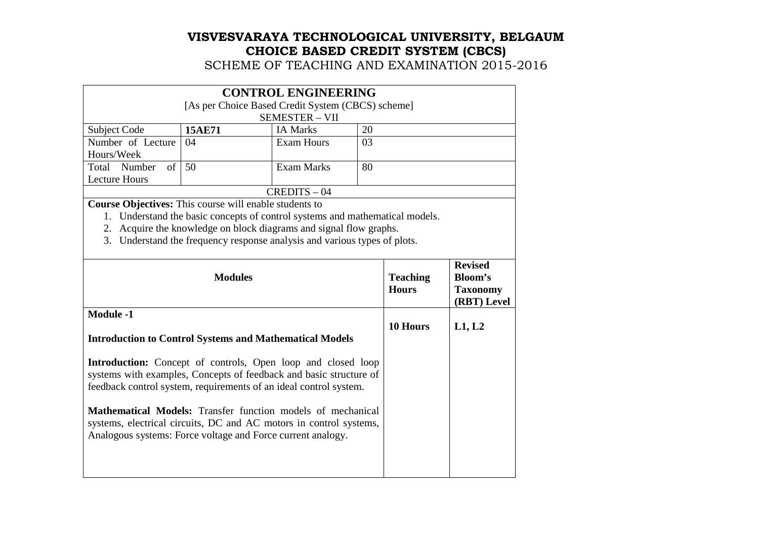SCHEME OF TEACHING AND EXAMINATION 2015-2016

| <b>CONTROL ENGINEERING</b> |                                                   |                   |    |  |  |  |  |
|----------------------------|---------------------------------------------------|-------------------|----|--|--|--|--|
|                            | [As per Choice Based Credit System (CBCS) scheme] |                   |    |  |  |  |  |
|                            | <b>SEMESTER - VII</b>                             |                   |    |  |  |  |  |
| Subject Code               | 15AE71                                            | <b>IA Marks</b>   | 20 |  |  |  |  |
| Number of Lecture          | -04                                               | <b>Exam Hours</b> | 03 |  |  |  |  |
| Hours/Week                 |                                                   |                   |    |  |  |  |  |
| Total Number of            | - 50                                              | Exam Marks        | 80 |  |  |  |  |
| <b>Lecture Hours</b>       |                                                   |                   |    |  |  |  |  |
| $CREDITS - 04$             |                                                   |                   |    |  |  |  |  |

**Course Objectives:** This course will enable students to

1. Understand the basic concepts of control systems and mathematical models.

2. Acquire the knowledge on block diagrams and signal flow graphs.

3. Understand the frequency response analysis and various types of plots.

| <b>Modules</b>                                                                                                                                                                                                 | <b>Teaching</b><br><b>Hours</b> | <b>Revised</b><br>Bloom's<br><b>Taxonomy</b><br>(RBT) Level |
|----------------------------------------------------------------------------------------------------------------------------------------------------------------------------------------------------------------|---------------------------------|-------------------------------------------------------------|
| <b>Module -1</b><br><b>Introduction to Control Systems and Mathematical Models</b>                                                                                                                             | 10 Hours                        | L1, L2                                                      |
| <b>Introduction:</b> Concept of controls, Open loop and closed loop<br>systems with examples, Concepts of feedback and basic structure of<br>feedback control system, requirements of an ideal control system. |                                 |                                                             |
| <b>Mathematical Models:</b> Transfer function models of mechanical<br>systems, electrical circuits, DC and AC motors in control systems,<br>Analogous systems: Force voltage and Force current analogy.        |                                 |                                                             |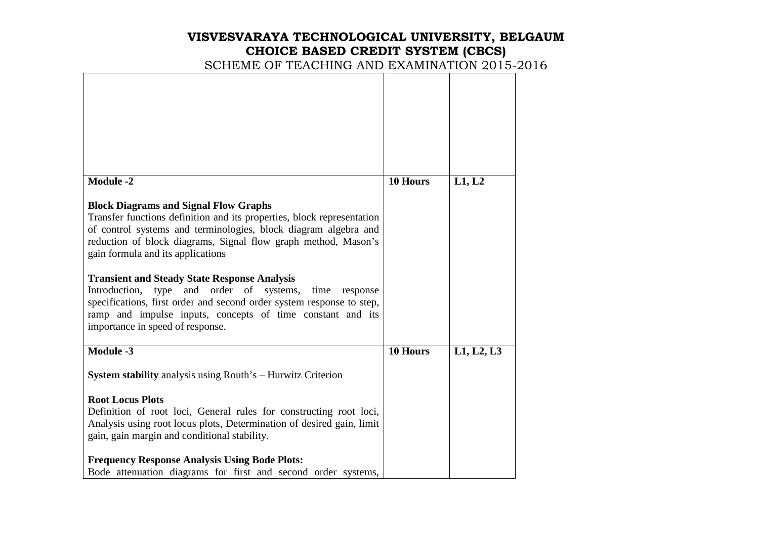# **VISVESVARAYA TECHNOLOGICAL UNIVERSITY, BELGAUM CHOICE BASED CREDIT SYSTEM (CBCS)**  SCHEME OF TEACHING AND EXAMINATION 2015-2016

| <b>Module -2</b>                                                                                                                                                                                                                                                                                                                                                                                                                                                                                                                                                                                                  | 10 Hours | L1, L2     |
|-------------------------------------------------------------------------------------------------------------------------------------------------------------------------------------------------------------------------------------------------------------------------------------------------------------------------------------------------------------------------------------------------------------------------------------------------------------------------------------------------------------------------------------------------------------------------------------------------------------------|----------|------------|
| <b>Block Diagrams and Signal Flow Graphs</b><br>Transfer functions definition and its properties, block representation<br>of control systems and terminologies, block diagram algebra and<br>reduction of block diagrams, Signal flow graph method, Mason's<br>gain formula and its applications<br><b>Transient and Steady State Response Analysis</b><br>order<br>Introduction,<br>and<br>of<br>systems,<br>type<br>time<br>response<br>specifications, first order and second order system response to step,<br>ramp and impulse inputs, concepts of time constant and its<br>importance in speed of response. |          |            |
|                                                                                                                                                                                                                                                                                                                                                                                                                                                                                                                                                                                                                   |          |            |
| Module -3                                                                                                                                                                                                                                                                                                                                                                                                                                                                                                                                                                                                         | 10 Hours | L1, L2, L3 |
| <b>System stability</b> analysis using Routh's – Hurwitz Criterion                                                                                                                                                                                                                                                                                                                                                                                                                                                                                                                                                |          |            |
| <b>Root Locus Plots</b><br>Definition of root loci, General rules for constructing root loci,<br>Analysis using root locus plots, Determination of desired gain, limit<br>gain, gain margin and conditional stability.                                                                                                                                                                                                                                                                                                                                                                                            |          |            |
| <b>Frequency Response Analysis Using Bode Plots:</b><br>Bode attenuation diagrams for first and second order systems,                                                                                                                                                                                                                                                                                                                                                                                                                                                                                             |          |            |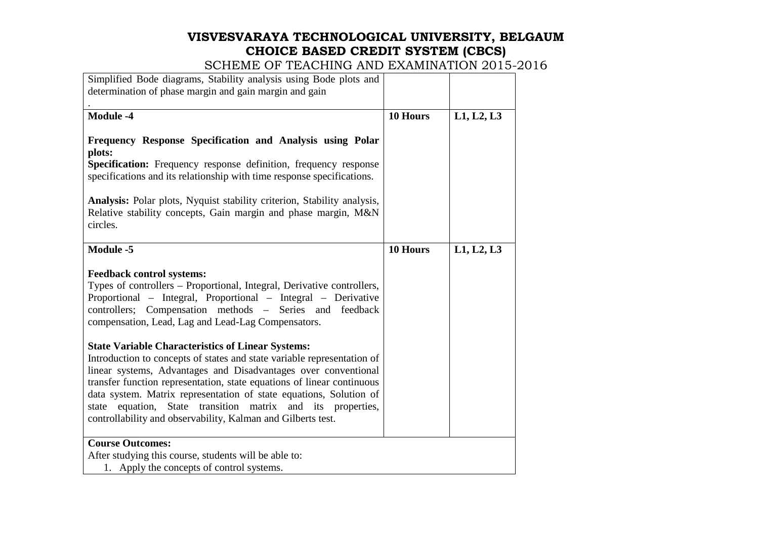| Simplified Bode diagrams, Stability analysis using Bode plots and<br>determination of phase margin and gain margin and gain                                                                                                                                                                                                                                                                                                                                                                                                                                                                                                                                                                                                                                                          |          |            |
|--------------------------------------------------------------------------------------------------------------------------------------------------------------------------------------------------------------------------------------------------------------------------------------------------------------------------------------------------------------------------------------------------------------------------------------------------------------------------------------------------------------------------------------------------------------------------------------------------------------------------------------------------------------------------------------------------------------------------------------------------------------------------------------|----------|------------|
| Module -4                                                                                                                                                                                                                                                                                                                                                                                                                                                                                                                                                                                                                                                                                                                                                                            | 10 Hours | L1, L2, L3 |
| Frequency Response Specification and Analysis using Polar<br>plots:<br>Specification: Frequency response definition, frequency response<br>specifications and its relationship with time response specifications.<br>Analysis: Polar plots, Nyquist stability criterion, Stability analysis,<br>Relative stability concepts, Gain margin and phase margin, M&N<br>circles.                                                                                                                                                                                                                                                                                                                                                                                                           |          |            |
| Module -5                                                                                                                                                                                                                                                                                                                                                                                                                                                                                                                                                                                                                                                                                                                                                                            | 10 Hours | L1, L2, L3 |
| <b>Feedback control systems:</b><br>Types of controllers – Proportional, Integral, Derivative controllers,<br>Proportional – Integral, Proportional – Integral – Derivative<br>controllers; Compensation methods - Series and feedback<br>compensation, Lead, Lag and Lead-Lag Compensators.<br><b>State Variable Characteristics of Linear Systems:</b><br>Introduction to concepts of states and state variable representation of<br>linear systems, Advantages and Disadvantages over conventional<br>transfer function representation, state equations of linear continuous<br>data system. Matrix representation of state equations, Solution of<br>state equation, State transition matrix and its properties,<br>controllability and observability, Kalman and Gilberts test. |          |            |
| <b>Course Outcomes:</b><br>After studying this course, students will be able to:<br>1. Apply the concepts of control systems.                                                                                                                                                                                                                                                                                                                                                                                                                                                                                                                                                                                                                                                        |          |            |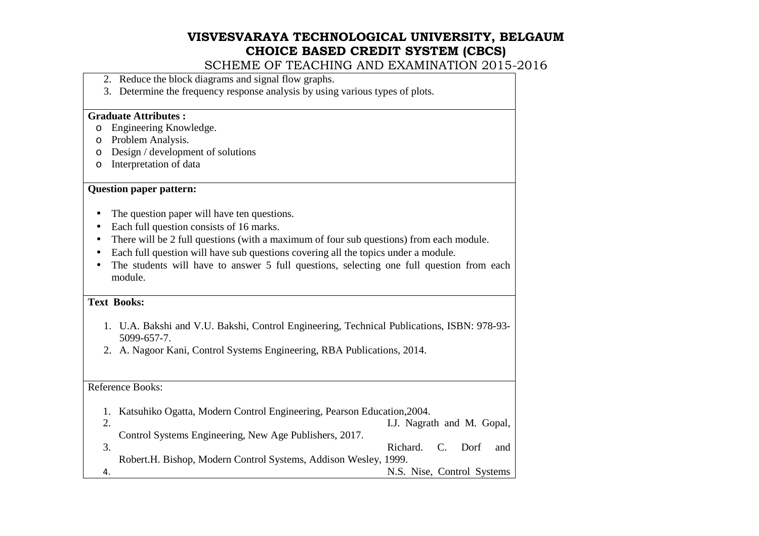SCHEME OF TEACHING AND EXAMINATION 2015-2016

- 2. Reduce the block diagrams and signal flow graphs.
- 3. Determine the frequency response analysis by using various types of plots.

#### **Graduate Attributes :**

- o Engineering Knowledge.
- o Problem Analysis.
- $\circ$  Design / development of solutions
- o Interpretation of data

#### **Question paper pattern:**

- The question paper will have ten questions.
- •Each full question consists of 16 marks.
- There will be 2 full questions (with a maximum of four sub questions) from each module.
- Each full question will have sub questions covering all the topics under a module.
- • The students will have to answer 5 full questions, selecting one full question from each module.

#### **Text Books:**

- 1. U.A. Bakshi and V.U. Bakshi, Control Engineering, Technical Publications, ISBN: 978-93-5099-657-7.
- 2. A. Nagoor Kani, Control Systems Engineering, RBA Publications, 2014.

#### Reference Books:

| Katsuhiko Ogatta, Modern Control Engineering, Pearson Education, 2004. |                            |  |     |
|------------------------------------------------------------------------|----------------------------|--|-----|
|                                                                        | I.J. Nagrath and M. Gopal, |  |     |
| Control Systems Engineering, New Age Publishers, 2017.                 |                            |  |     |
|                                                                        | Richard. C. Dorf           |  | and |
| Robert.H. Bishop, Modern Control Systems, Addison Wesley, 1999.        |                            |  |     |
|                                                                        | N.S. Nise, Control Systems |  |     |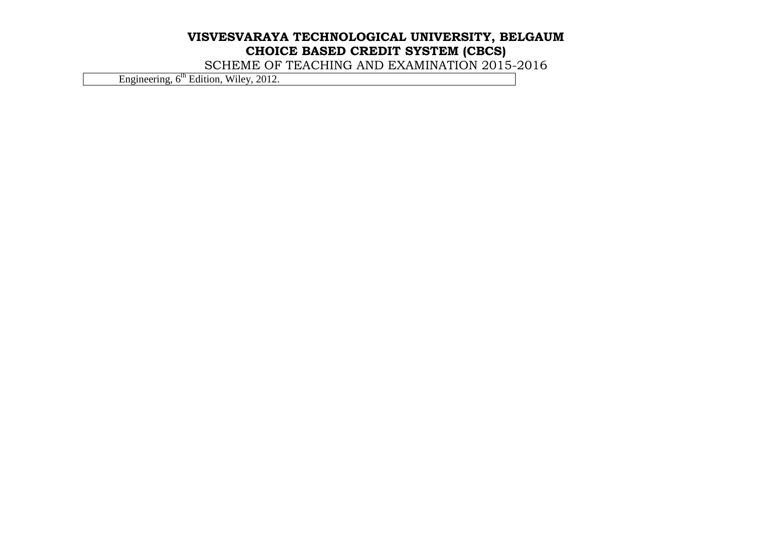SCHEME OF TEACHING AND EXAMINATION 2015-2016

Engineering, 6<sup>th</sup> Edition, Wiley, 2012.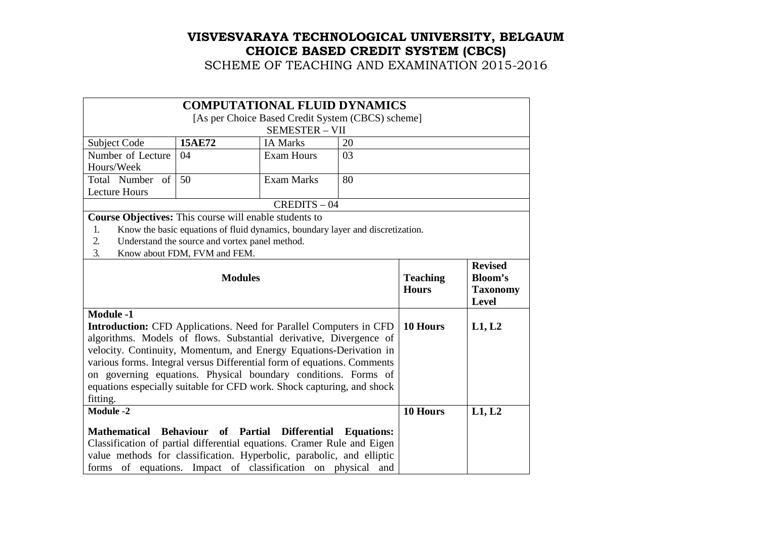|                                                                                                                                                                                                                                                                                                                                                                                                                                                                              | <b>COMPUTATIONAL FLUID DYNAMICS</b>                                            |                                                              |                   |  |  |
|------------------------------------------------------------------------------------------------------------------------------------------------------------------------------------------------------------------------------------------------------------------------------------------------------------------------------------------------------------------------------------------------------------------------------------------------------------------------------|--------------------------------------------------------------------------------|--------------------------------------------------------------|-------------------|--|--|
| [As per Choice Based Credit System (CBCS) scheme]                                                                                                                                                                                                                                                                                                                                                                                                                            |                                                                                |                                                              |                   |  |  |
|                                                                                                                                                                                                                                                                                                                                                                                                                                                                              |                                                                                | <b>SEMESTER - VII</b>                                        |                   |  |  |
| Subject Code                                                                                                                                                                                                                                                                                                                                                                                                                                                                 | <b>15AE72</b>                                                                  | <b>IA Marks</b>                                              | 20                |  |  |
| Number of Lecture                                                                                                                                                                                                                                                                                                                                                                                                                                                            | 04                                                                             | <b>Exam Hours</b>                                            | 03                |  |  |
| Hours/Week                                                                                                                                                                                                                                                                                                                                                                                                                                                                   |                                                                                |                                                              |                   |  |  |
| Total Number of                                                                                                                                                                                                                                                                                                                                                                                                                                                              | 50                                                                             | <b>Exam Marks</b>                                            | 80                |  |  |
| <b>Lecture Hours</b>                                                                                                                                                                                                                                                                                                                                                                                                                                                         |                                                                                |                                                              |                   |  |  |
|                                                                                                                                                                                                                                                                                                                                                                                                                                                                              |                                                                                | $CREDITS - 04$                                               |                   |  |  |
| Course Objectives: This course will enable students to                                                                                                                                                                                                                                                                                                                                                                                                                       |                                                                                |                                                              |                   |  |  |
| 1.                                                                                                                                                                                                                                                                                                                                                                                                                                                                           | Know the basic equations of fluid dynamics, boundary layer and discretization. |                                                              |                   |  |  |
| 2.                                                                                                                                                                                                                                                                                                                                                                                                                                                                           | Understand the source and vortex panel method.                                 |                                                              |                   |  |  |
| 3.                                                                                                                                                                                                                                                                                                                                                                                                                                                                           | Know about FDM, FVM and FEM.                                                   |                                                              |                   |  |  |
|                                                                                                                                                                                                                                                                                                                                                                                                                                                                              | <b>Teaching</b><br><b>Hours</b>                                                | <b>Revised</b><br>Bloom's<br><b>Taxonomy</b><br><b>Level</b> |                   |  |  |
| <b>Module -1</b><br><b>Introduction:</b> CFD Applications. Need for Parallel Computers in CFD<br>algorithms. Models of flows. Substantial derivative, Divergence of<br>velocity. Continuity, Momentum, and Energy Equations-Derivation in<br>various forms. Integral versus Differential form of equations. Comments<br>on governing equations. Physical boundary conditions. Forms of<br>equations especially suitable for CFD work. Shock capturing, and shock<br>fitting. | 10 Hours                                                                       | L1, L2                                                       |                   |  |  |
| <b>Module -2</b>                                                                                                                                                                                                                                                                                                                                                                                                                                                             | 10 Hours                                                                       | L1, L2                                                       |                   |  |  |
| Mathematical Behaviour of Partial<br>Classification of partial differential equations. Cramer Rule and Eigen<br>value methods for classification. Hyperbolic, parabolic, and elliptic<br>forms of equations. Impact of classification on physical and                                                                                                                                                                                                                        |                                                                                | <b>Differential</b>                                          | <b>Equations:</b> |  |  |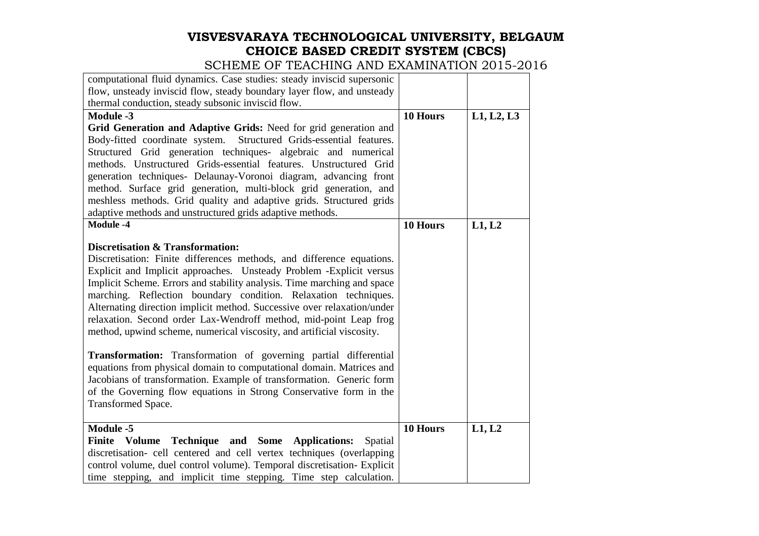| computational fluid dynamics. Case studies: steady inviscid supersonic                                               |          |            |
|----------------------------------------------------------------------------------------------------------------------|----------|------------|
| flow, unsteady inviscid flow, steady boundary layer flow, and unsteady                                               |          |            |
| thermal conduction, steady subsonic inviscid flow.                                                                   |          |            |
| <b>Module -3</b>                                                                                                     | 10 Hours | L1, L2, L3 |
| Grid Generation and Adaptive Grids: Need for grid generation and                                                     |          |            |
| Body-fitted coordinate system.<br>Structured Grids-essential features.                                               |          |            |
| Structured Grid generation techniques- algebraic and numerical                                                       |          |            |
| methods. Unstructured Grids-essential features. Unstructured Grid                                                    |          |            |
| generation techniques- Delaunay-Voronoi diagram, advancing front                                                     |          |            |
| method. Surface grid generation, multi-block grid generation, and                                                    |          |            |
| meshless methods. Grid quality and adaptive grids. Structured grids                                                  |          |            |
| adaptive methods and unstructured grids adaptive methods.                                                            |          |            |
| <b>Module -4</b>                                                                                                     | 10 Hours | L1, L2     |
|                                                                                                                      |          |            |
| <b>Discretisation &amp; Transformation:</b><br>Discretisation: Finite differences methods, and difference equations. |          |            |
| Explicit and Implicit approaches. Unsteady Problem - Explicit versus                                                 |          |            |
| Implicit Scheme. Errors and stability analysis. Time marching and space                                              |          |            |
| marching. Reflection boundary condition. Relaxation techniques.                                                      |          |            |
| Alternating direction implicit method. Successive over relaxation/under                                              |          |            |
| relaxation. Second order Lax-Wendroff method, mid-point Leap frog                                                    |          |            |
| method, upwind scheme, numerical viscosity, and artificial viscosity.                                                |          |            |
|                                                                                                                      |          |            |
| <b>Transformation:</b> Transformation of governing partial differential                                              |          |            |
| equations from physical domain to computational domain. Matrices and                                                 |          |            |
| Jacobians of transformation. Example of transformation. Generic form                                                 |          |            |
| of the Governing flow equations in Strong Conservative form in the                                                   |          |            |
| Transformed Space.                                                                                                   |          |            |
|                                                                                                                      |          |            |
| <b>Module -5</b>                                                                                                     | 10 Hours | L1, L2     |
| Finite Volume Technique and Some Applications:<br>Spatial                                                            |          |            |
| discretisation- cell centered and cell vertex techniques (overlapping                                                |          |            |
| control volume, duel control volume). Temporal discretisation- Explicit                                              |          |            |
| time stepping, and implicit time stepping. Time step calculation.                                                    |          |            |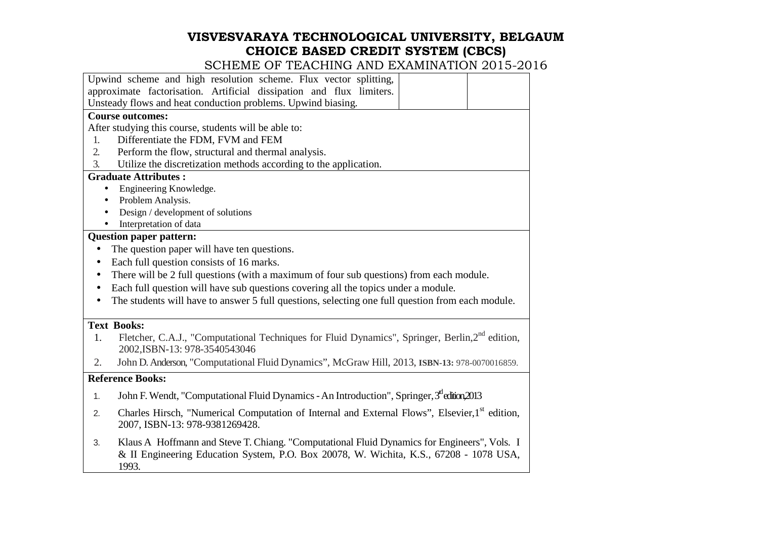|           | LUIVIIIITU IITU UITUITIUITU 4                                                                                                                                                                  |
|-----------|------------------------------------------------------------------------------------------------------------------------------------------------------------------------------------------------|
|           | Upwind scheme and high resolution scheme. Flux vector splitting,                                                                                                                               |
|           | approximate factorisation. Artificial dissipation and flux limiters.                                                                                                                           |
|           | Unsteady flows and heat conduction problems. Upwind biasing.                                                                                                                                   |
|           | <b>Course outcomes:</b>                                                                                                                                                                        |
|           | After studying this course, students will be able to:                                                                                                                                          |
| 1.        | Differentiate the FDM, FVM and FEM                                                                                                                                                             |
| 2.        | Perform the flow, structural and thermal analysis.                                                                                                                                             |
| 3.        | Utilize the discretization methods according to the application.                                                                                                                               |
|           | <b>Graduate Attributes:</b>                                                                                                                                                                    |
|           | Engineering Knowledge.                                                                                                                                                                         |
|           | Problem Analysis.                                                                                                                                                                              |
|           | Design / development of solutions                                                                                                                                                              |
|           | Interpretation of data                                                                                                                                                                         |
|           | <b>Question paper pattern:</b>                                                                                                                                                                 |
|           | The question paper will have ten questions.                                                                                                                                                    |
| $\bullet$ | Each full question consists of 16 marks.                                                                                                                                                       |
| $\bullet$ | There will be 2 full questions (with a maximum of four sub questions) from each module.                                                                                                        |
| $\bullet$ | Each full question will have sub questions covering all the topics under a module.                                                                                                             |
|           | The students will have to answer 5 full questions, selecting one full question from each module.                                                                                               |
|           | <b>Text Books:</b>                                                                                                                                                                             |
| 1.        | Fletcher, C.A.J., "Computational Techniques for Fluid Dynamics", Springer, Berlin,2 <sup>nd</sup> edition,<br>2002, ISBN-13: 978-3540543046                                                    |
| 2.        | John D. Anderson, "Computational Fluid Dynamics", McGraw Hill, 2013, ISBN-13: 978-0070016859.                                                                                                  |
|           | <b>Reference Books:</b>                                                                                                                                                                        |
| 1.        | John F. Wendt, "Computational Fluid Dynamics - An Introduction", Springer, 3 <sup>rd</sup> edition, 2013                                                                                       |
| 2.        | Charles Hirsch, "Numerical Computation of Internal and External Flows", Elsevier,1 <sup>st</sup> edition,<br>2007, ISBN-13: 978-9381269428.                                                    |
| 3.        | Klaus A Hoffmann and Steve T. Chiang. "Computational Fluid Dynamics for Engineers", Vols. I<br>& II Engineering Education System, P.O. Box 20078, W. Wichita, K.S., 67208 - 1078 USA,<br>1993. |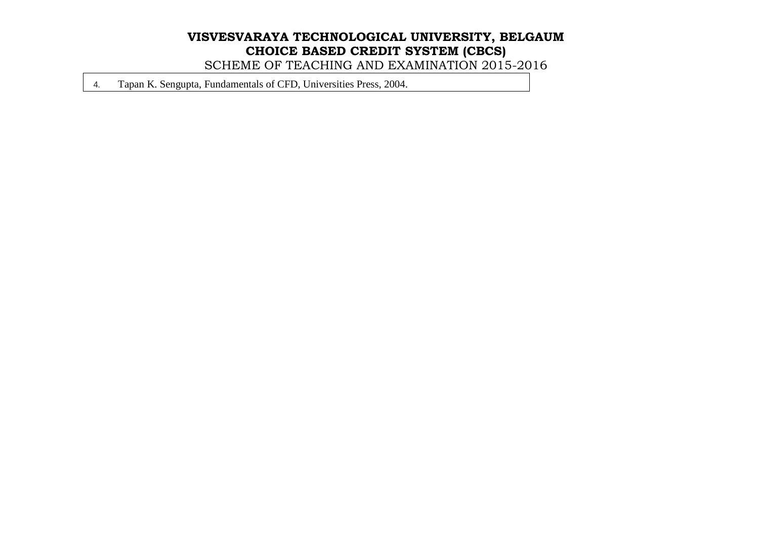SCHEME OF TEACHING AND EXAMINATION 2015-2016

4. Tapan K. Sengupta, Fundamentals of CFD, Universities Press, 2004.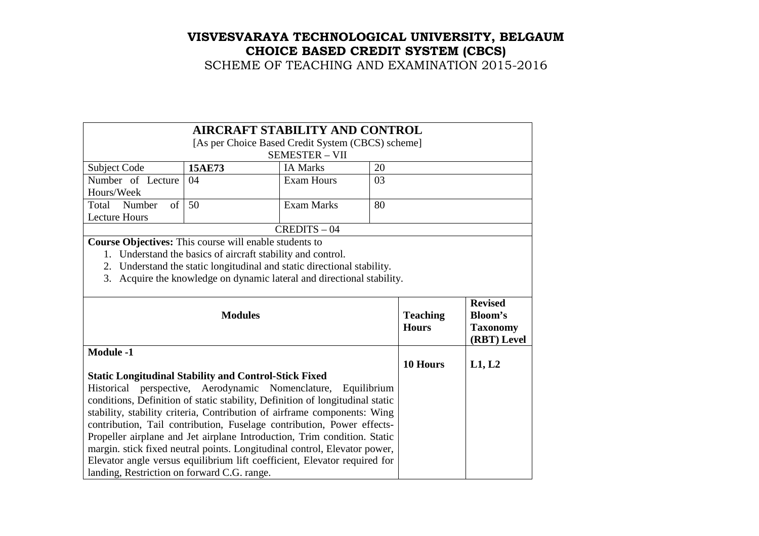# **VISVESVARAYA TECHNOLOGICAL UNIVERSITY, BELGAUM CHOICE BASED CREDIT SYSTEM (CBCS)**  SCHEME OF TEACHING AND EXAMINATION 2015-2016

|                                                                                                                                                           |                                                                                                                                                       | <b>AIRCRAFT STABILITY AND CONTROL</b>                                     |          |        |  |  |
|-----------------------------------------------------------------------------------------------------------------------------------------------------------|-------------------------------------------------------------------------------------------------------------------------------------------------------|---------------------------------------------------------------------------|----------|--------|--|--|
|                                                                                                                                                           | [As per Choice Based Credit System (CBCS) scheme]                                                                                                     |                                                                           |          |        |  |  |
|                                                                                                                                                           |                                                                                                                                                       | <b>SEMESTER - VII</b>                                                     |          |        |  |  |
| Subject Code                                                                                                                                              | 15AE73                                                                                                                                                | <b>IA Marks</b>                                                           | 20       |        |  |  |
| Number of Lecture                                                                                                                                         | 04                                                                                                                                                    | <b>Exam Hours</b>                                                         | 03       |        |  |  |
| Hours/Week                                                                                                                                                |                                                                                                                                                       |                                                                           |          |        |  |  |
| Number<br>$\sigma$<br>Total                                                                                                                               | 50                                                                                                                                                    | <b>Exam Marks</b>                                                         | 80       |        |  |  |
| <b>Lecture Hours</b>                                                                                                                                      |                                                                                                                                                       |                                                                           |          |        |  |  |
|                                                                                                                                                           |                                                                                                                                                       | $CREDITS - 04$                                                            |          |        |  |  |
| Course Objectives: This course will enable students to                                                                                                    |                                                                                                                                                       |                                                                           |          |        |  |  |
|                                                                                                                                                           |                                                                                                                                                       | 1. Understand the basics of aircraft stability and control.               |          |        |  |  |
|                                                                                                                                                           |                                                                                                                                                       | 2. Understand the static longitudinal and static directional stability.   |          |        |  |  |
|                                                                                                                                                           |                                                                                                                                                       | 3. Acquire the knowledge on dynamic lateral and directional stability.    |          |        |  |  |
|                                                                                                                                                           |                                                                                                                                                       |                                                                           |          |        |  |  |
|                                                                                                                                                           | <b>Teaching</b><br><b>Hours</b>                                                                                                                       | <b>Revised</b><br><b>Bloom's</b><br><b>Taxonomy</b><br>(RBT) Level        |          |        |  |  |
| <b>Module -1</b>                                                                                                                                          |                                                                                                                                                       |                                                                           |          |        |  |  |
|                                                                                                                                                           |                                                                                                                                                       |                                                                           | 10 Hours | L1, L2 |  |  |
| <b>Static Longitudinal Stability and Control-Stick Fixed</b>                                                                                              |                                                                                                                                                       | perspective, Aerodynamic Nomenclature, Equilibrium                        |          |        |  |  |
| Historical                                                                                                                                                |                                                                                                                                                       |                                                                           |          |        |  |  |
| conditions, Definition of static stability, Definition of longitudinal static<br>stability, stability criteria, Contribution of airframe components: Wing |                                                                                                                                                       |                                                                           |          |        |  |  |
| contribution, Tail contribution, Fuselage contribution, Power effects-                                                                                    |                                                                                                                                                       |                                                                           |          |        |  |  |
|                                                                                                                                                           |                                                                                                                                                       |                                                                           |          |        |  |  |
|                                                                                                                                                           | Propeller airplane and Jet airplane Introduction, Trim condition. Static<br>margin. stick fixed neutral points. Longitudinal control, Elevator power, |                                                                           |          |        |  |  |
|                                                                                                                                                           |                                                                                                                                                       | Elevator angle versus equilibrium lift coefficient, Elevator required for |          |        |  |  |
| landing, Restriction on forward C.G. range.                                                                                                               |                                                                                                                                                       |                                                                           |          |        |  |  |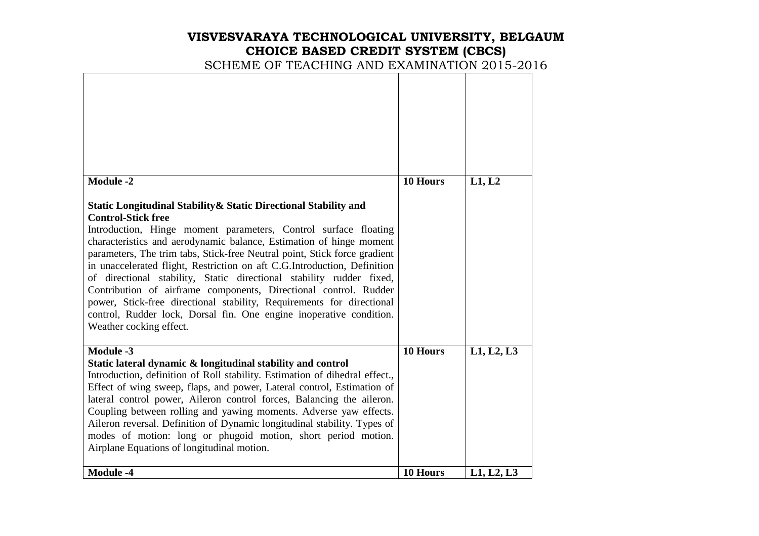# **VISVESVARAYA TECHNOLOGICAL UNIVERSITY, BELGAUM CHOICE BASED CREDIT SYSTEM (CBCS)**  SCHEME OF TEACHING AND EXAMINATION 2015-2016

| <b>Module -2</b>                                                                                                                                                                                                                                                                                                                                                                                                                                                                                                                                                                                                                                                                                                        | 10 Hours | L1, L2     |
|-------------------------------------------------------------------------------------------------------------------------------------------------------------------------------------------------------------------------------------------------------------------------------------------------------------------------------------------------------------------------------------------------------------------------------------------------------------------------------------------------------------------------------------------------------------------------------------------------------------------------------------------------------------------------------------------------------------------------|----------|------------|
| Static Longitudinal Stability & Static Directional Stability and<br><b>Control-Stick free</b><br>Introduction, Hinge moment parameters, Control surface floating<br>characteristics and aerodynamic balance, Estimation of hinge moment<br>parameters, The trim tabs, Stick-free Neutral point, Stick force gradient<br>in unaccelerated flight, Restriction on aft C.G.Introduction, Definition<br>of directional stability, Static directional stability rudder fixed,<br>Contribution of airframe components, Directional control. Rudder<br>power, Stick-free directional stability, Requirements for directional<br>control, Rudder lock, Dorsal fin. One engine inoperative condition.<br>Weather cocking effect. |          |            |
| <b>Module -3</b>                                                                                                                                                                                                                                                                                                                                                                                                                                                                                                                                                                                                                                                                                                        | 10 Hours | L1, L2, L3 |
| Static lateral dynamic & longitudinal stability and control<br>Introduction, definition of Roll stability. Estimation of dihedral effect.,<br>Effect of wing sweep, flaps, and power, Lateral control, Estimation of<br>lateral control power, Aileron control forces, Balancing the aileron.<br>Coupling between rolling and yawing moments. Adverse yaw effects.<br>Aileron reversal. Definition of Dynamic longitudinal stability. Types of<br>modes of motion: long or phugoid motion, short period motion.<br>Airplane Equations of longitudinal motion.                                                                                                                                                           |          |            |
| <b>Module -4</b>                                                                                                                                                                                                                                                                                                                                                                                                                                                                                                                                                                                                                                                                                                        | 10 Hours | L1, L2, L3 |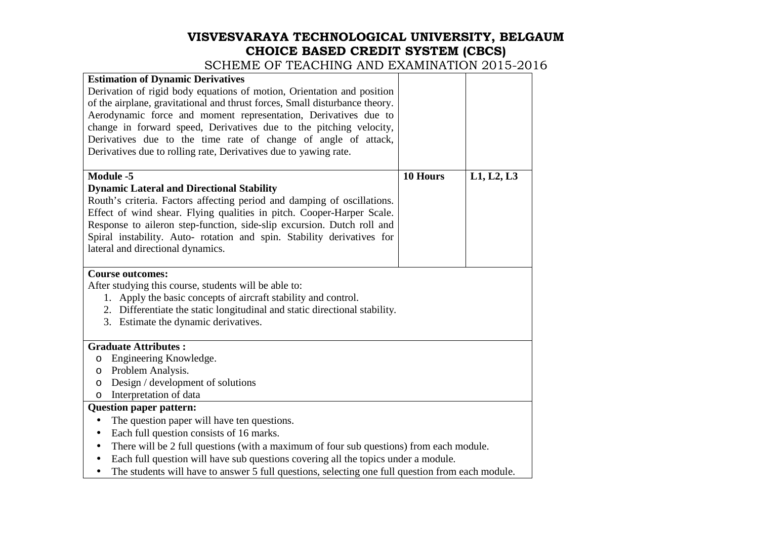| <b>Estimation of Dynamic Derivatives</b>                                                                      |          |            |
|---------------------------------------------------------------------------------------------------------------|----------|------------|
| Derivation of rigid body equations of motion, Orientation and position                                        |          |            |
| of the airplane, gravitational and thrust forces, Small disturbance theory.                                   |          |            |
| Aerodynamic force and moment representation, Derivatives due to                                               |          |            |
| change in forward speed, Derivatives due to the pitching velocity,                                            |          |            |
| Derivatives due to the time rate of change of angle of attack,                                                |          |            |
| Derivatives due to rolling rate, Derivatives due to yawing rate.                                              |          |            |
|                                                                                                               |          |            |
| <b>Module -5</b>                                                                                              | 10 Hours | L1, L2, L3 |
| <b>Dynamic Lateral and Directional Stability</b>                                                              |          |            |
| Routh's criteria. Factors affecting period and damping of oscillations.                                       |          |            |
| Effect of wind shear. Flying qualities in pitch. Cooper-Harper Scale.                                         |          |            |
| Response to aileron step-function, side-slip excursion. Dutch roll and                                        |          |            |
| Spiral instability. Auto- rotation and spin. Stability derivatives for                                        |          |            |
| lateral and directional dynamics.                                                                             |          |            |
|                                                                                                               |          |            |
| <b>Course outcomes:</b>                                                                                       |          |            |
| After studying this course, students will be able to:                                                         |          |            |
| 1. Apply the basic concepts of aircraft stability and control.                                                |          |            |
| 2. Differentiate the static longitudinal and static directional stability.                                    |          |            |
| 3. Estimate the dynamic derivatives.                                                                          |          |            |
|                                                                                                               |          |            |
| <b>Graduate Attributes:</b>                                                                                   |          |            |
| Engineering Knowledge.<br>$\circ$                                                                             |          |            |
| Problem Analysis.<br>O                                                                                        |          |            |
| Design / development of solutions<br>$\circ$                                                                  |          |            |
| Interpretation of data<br>$\circ$                                                                             |          |            |
| <b>Question paper pattern:</b>                                                                                |          |            |
| The question paper will have ten questions.<br>$\bullet$                                                      |          |            |
| Each full question consists of 16 marks.<br>$\bullet$                                                         |          |            |
| There will be 2 full questions (with a maximum of four sub questions) from each module.<br>$\bullet$          |          |            |
| Each full question will have sub questions covering all the topics under a module.<br>٠                       |          |            |
| The students will have to answer 5 full questions, selecting one full question from each module.<br>$\bullet$ |          |            |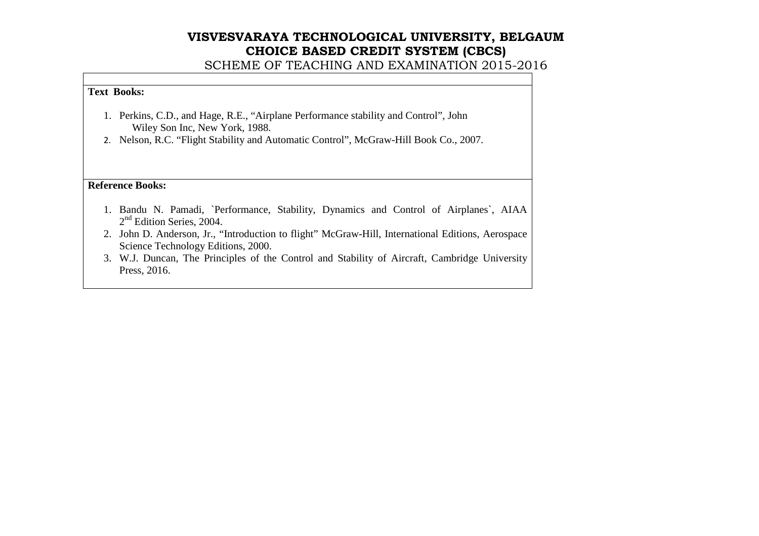SCHEME OF TEACHING AND EXAMINATION 2015-2016

#### **Text Books:**

- 1. Perkins, C.D., and Hage, R.E., "Airplane Performance stability and Control", John Wiley Son Inc, New York, 1988.
- 2. Nelson, R.C. "Flight Stability and Automatic Control", McGraw-Hill Book Co., 2007.

**Reference Books:** 

- 1. Bandu N. Pamadi, `Performance, Stability, Dynamics and Control of Airplanes`, AIAA 2<sup>nd</sup> Edition Series, 2004.
- 2. John D. Anderson, Jr., "Introduction to flight" McGraw-Hill, International Editions, Aerospace Science Technology Editions, 2000.
- 3. W.J. Duncan, The Principles of the Control and Stability of Aircraft, Cambridge University Press, 2016.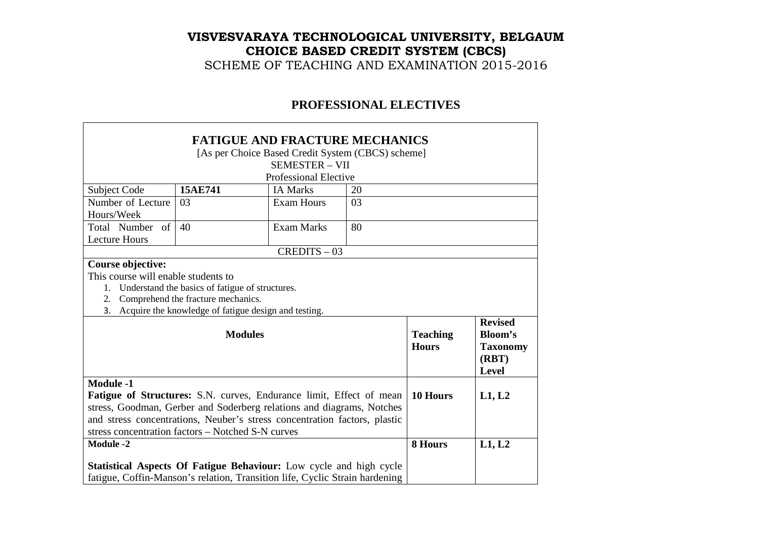SCHEME OF TEACHING AND EXAMINATION 2015-2016

### **PROFESSIONAL ELECTIVES**

|                                                                           |                                                                             | <b>FATIGUE AND FRACTURE MECHANICS</b>                                      |         |                 |                 |
|---------------------------------------------------------------------------|-----------------------------------------------------------------------------|----------------------------------------------------------------------------|---------|-----------------|-----------------|
|                                                                           |                                                                             | [As per Choice Based Credit System (CBCS) scheme]                          |         |                 |                 |
|                                                                           |                                                                             | <b>SEMESTER - VII</b>                                                      |         |                 |                 |
|                                                                           |                                                                             | <b>Professional Elective</b>                                               |         |                 |                 |
| Subject Code                                                              | 15AE741                                                                     | <b>IA Marks</b>                                                            | 20      |                 |                 |
| Number of Lecture                                                         | 03                                                                          | <b>Exam Hours</b>                                                          | 03      |                 |                 |
| Hours/Week                                                                |                                                                             |                                                                            |         |                 |                 |
| Total Number of                                                           | 40                                                                          | <b>Exam Marks</b>                                                          | 80      |                 |                 |
| <b>Lecture Hours</b>                                                      |                                                                             |                                                                            |         |                 |                 |
|                                                                           |                                                                             | $CREDITS - 03$                                                             |         |                 |                 |
| Course objective:                                                         |                                                                             |                                                                            |         |                 |                 |
| This course will enable students to                                       |                                                                             |                                                                            |         |                 |                 |
| 1.                                                                        | Understand the basics of fatigue of structures.                             |                                                                            |         |                 |                 |
| 2.                                                                        | Comprehend the fracture mechanics.                                          |                                                                            |         |                 |                 |
| 3.                                                                        |                                                                             | Acquire the knowledge of fatigue design and testing.                       |         |                 |                 |
|                                                                           |                                                                             |                                                                            |         |                 | <b>Revised</b>  |
|                                                                           | <b>Modules</b>                                                              |                                                                            |         | <b>Teaching</b> | <b>Bloom's</b>  |
|                                                                           |                                                                             |                                                                            |         | <b>Hours</b>    | <b>Taxonomy</b> |
|                                                                           |                                                                             |                                                                            |         |                 | (RBT)           |
|                                                                           |                                                                             |                                                                            |         |                 | <b>Level</b>    |
| <b>Module -1</b>                                                          |                                                                             |                                                                            |         |                 |                 |
|                                                                           |                                                                             | <b>Fatigue of Structures:</b> S.N. curves, Endurance limit, Effect of mean |         | 10 Hours        | L1, L2          |
|                                                                           |                                                                             | stress, Goodman, Gerber and Soderberg relations and diagrams, Notches      |         |                 |                 |
| and stress concentrations, Neuber's stress concentration factors, plastic |                                                                             |                                                                            |         |                 |                 |
| stress concentration factors – Notched S-N curves                         |                                                                             |                                                                            | 8 Hours |                 |                 |
| <b>Module -2</b>                                                          |                                                                             |                                                                            |         |                 | L1, L2          |
| Statistical Aspects Of Fatigue Behaviour: Low cycle and high cycle        |                                                                             |                                                                            |         |                 |                 |
|                                                                           | fatigue, Coffin-Manson's relation, Transition life, Cyclic Strain hardening |                                                                            |         |                 |                 |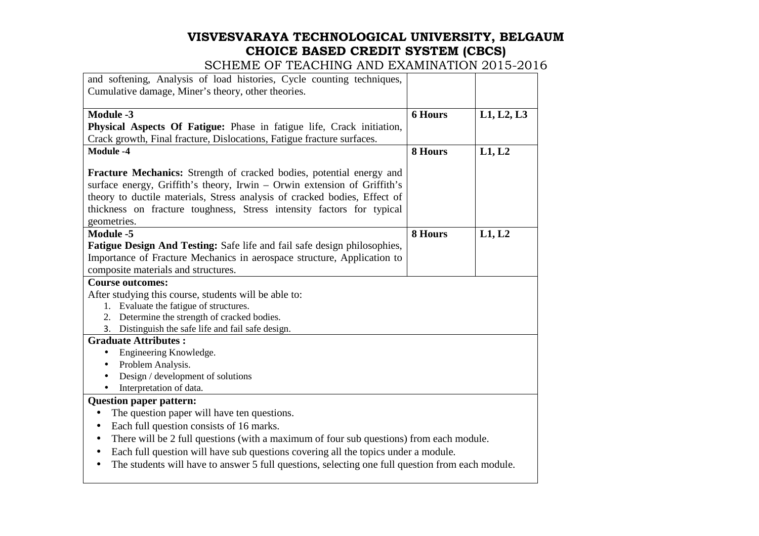| and softening, Analysis of load histories, Cycle counting techniques,                                |                |            |
|------------------------------------------------------------------------------------------------------|----------------|------------|
| Cumulative damage, Miner's theory, other theories.                                                   |                |            |
| <b>Module -3</b>                                                                                     | <b>6 Hours</b> | L1, L2, L3 |
| Physical Aspects Of Fatigue: Phase in fatigue life, Crack initiation,                                |                |            |
| Crack growth, Final fracture, Dislocations, Fatigue fracture surfaces.                               |                |            |
| <b>Module -4</b>                                                                                     | 8 Hours        | L1, L2     |
|                                                                                                      |                |            |
| <b>Fracture Mechanics:</b> Strength of cracked bodies, potential energy and                          |                |            |
| surface energy, Griffith's theory, Irwin - Orwin extension of Griffith's                             |                |            |
| theory to ductile materials, Stress analysis of cracked bodies, Effect of                            |                |            |
| thickness on fracture toughness, Stress intensity factors for typical                                |                |            |
| geometries.                                                                                          |                |            |
| Module -5                                                                                            | 8 Hours        | L1, L2     |
| Fatigue Design And Testing: Safe life and fail safe design philosophies,                             |                |            |
| Importance of Fracture Mechanics in aerospace structure, Application to                              |                |            |
| composite materials and structures.                                                                  |                |            |
| <b>Course outcomes:</b>                                                                              |                |            |
| After studying this course, students will be able to:                                                |                |            |
| 1. Evaluate the fatigue of structures.                                                               |                |            |
| 2. Determine the strength of cracked bodies.                                                         |                |            |
| 3. Distinguish the safe life and fail safe design.                                                   |                |            |
| <b>Graduate Attributes:</b>                                                                          |                |            |
| Engineering Knowledge.<br>$\bullet$                                                                  |                |            |
| Problem Analysis.<br>$\bullet$                                                                       |                |            |
| Design / development of solutions<br>$\bullet$                                                       |                |            |
| Interpretation of data.                                                                              |                |            |
| <b>Question paper pattern:</b>                                                                       |                |            |
| The question paper will have ten questions.                                                          |                |            |
| Each full question consists of 16 marks.<br>$\bullet$                                                |                |            |
| There will be 2 full questions (with a maximum of four sub questions) from each module.<br>$\bullet$ |                |            |
| Each full question will have sub questions covering all the topics under a module.                   |                |            |
| The students will have to answer 5 full questions, selecting one full question from each module.     |                |            |
|                                                                                                      |                |            |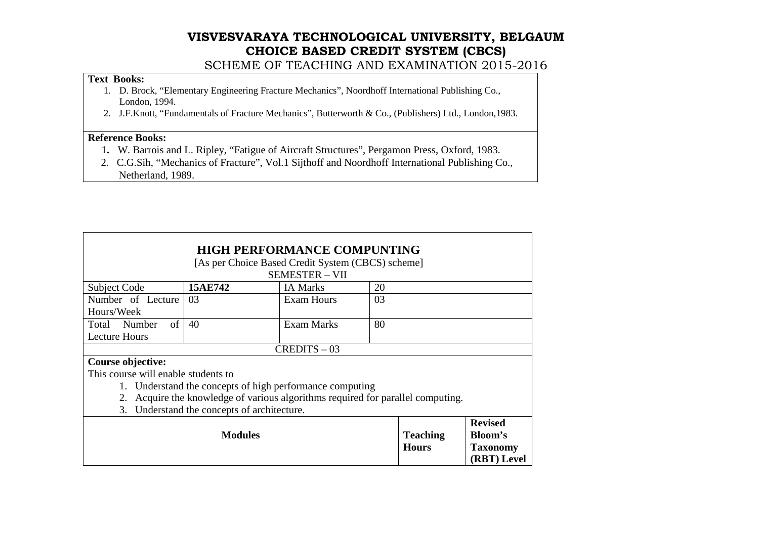SCHEME OF TEACHING AND EXAMINATION 2015-2016

### **Text Books:**

- 1. D. Brock, "Elementary Engineering Fracture Mechanics", Noordhoff International Publishing Co., London, 1994.
- 2. J.F.Knott, "Fundamentals of Fracture Mechanics", Butterworth & Co., (Publishers) Ltd., London,1983.

#### **Reference Books:**

- 1**.** W. Barrois and L. Ripley, "Fatigue of Aircraft Structures", Pergamon Press, Oxford, 1983.
- 2. C.G.Sih, "Mechanics of Fracture", Vol.1 Sijthoff and Noordhoff International Publishing Co.,Netherland, 1989.

| <b>HIGH PERFORMANCE COMPUNTING</b>  |                                                                                 |                                                   |                 |                 |
|-------------------------------------|---------------------------------------------------------------------------------|---------------------------------------------------|-----------------|-----------------|
|                                     |                                                                                 | [As per Choice Based Credit System (CBCS) scheme] |                 |                 |
|                                     |                                                                                 | <b>SEMESTER - VII</b>                             |                 |                 |
| <b>Subject Code</b>                 | 15AE742                                                                         | <b>IA Marks</b>                                   | 20              |                 |
| Number of Lecture                   | 03                                                                              | Exam Hours                                        | 03              |                 |
| Hours/Week                          |                                                                                 |                                                   |                 |                 |
| $\sigma$<br>Total Number            | 40                                                                              | Exam Marks                                        | 80              |                 |
| <b>Lecture Hours</b>                |                                                                                 |                                                   |                 |                 |
|                                     |                                                                                 | $CREDITS - 03$                                    |                 |                 |
| Course objective:                   |                                                                                 |                                                   |                 |                 |
| This course will enable students to |                                                                                 |                                                   |                 |                 |
|                                     | 1. Understand the concepts of high performance computing                        |                                                   |                 |                 |
|                                     | 2. Acquire the knowledge of various algorithms required for parallel computing. |                                                   |                 |                 |
|                                     | 3. Understand the concepts of architecture.                                     |                                                   |                 |                 |
|                                     |                                                                                 |                                                   |                 | <b>Revised</b>  |
|                                     | <b>Modules</b>                                                                  |                                                   | <b>Teaching</b> | Bloom's         |
|                                     |                                                                                 |                                                   | <b>Hours</b>    | <b>Taxonomy</b> |
|                                     |                                                                                 |                                                   |                 | (RBT) Level     |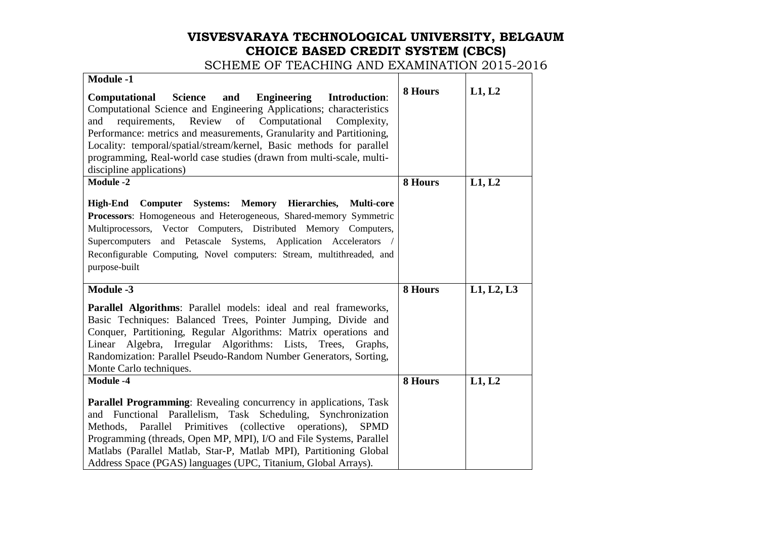| <b>Module -1</b>                                                                                                                                                                                                                                                                                                                                                                                                                                                            |         |            |
|-----------------------------------------------------------------------------------------------------------------------------------------------------------------------------------------------------------------------------------------------------------------------------------------------------------------------------------------------------------------------------------------------------------------------------------------------------------------------------|---------|------------|
| <b>Science</b><br><b>Engineering</b><br><b>Introduction:</b><br>Computational<br>and<br>Computational Science and Engineering Applications; characteristics<br>and requirements, Review of Computational<br>Complexity,<br>Performance: metrics and measurements, Granularity and Partitioning,<br>Locality: temporal/spatial/stream/kernel, Basic methods for parallel<br>programming, Real-world case studies (drawn from multi-scale, multi-<br>discipline applications) | 8 Hours | L1, L2     |
| <b>Module -2</b>                                                                                                                                                                                                                                                                                                                                                                                                                                                            | 8 Hours | L1, L2     |
| High-End Computer Systems: Memory Hierarchies, Multi-core<br>Processors: Homogeneous and Heterogeneous, Shared-memory Symmetric<br>Multiprocessors, Vector Computers, Distributed Memory Computers,<br>Supercomputers and Petascale Systems, Application Accelerators<br>Reconfigurable Computing, Novel computers: Stream, multithreaded, and<br>purpose-built                                                                                                             |         |            |
| <b>Module -3</b>                                                                                                                                                                                                                                                                                                                                                                                                                                                            | 8 Hours | L1, L2, L3 |
| <b>Parallel Algorithms:</b> Parallel models: ideal and real frameworks,<br>Basic Techniques: Balanced Trees, Pointer Jumping, Divide and<br>Conquer, Partitioning, Regular Algorithms: Matrix operations and<br>Linear Algebra, Irregular Algorithms: Lists, Trees, Graphs,<br>Randomization: Parallel Pseudo-Random Number Generators, Sorting,<br>Monte Carlo techniques.                                                                                                 |         |            |
| <b>Module -4</b>                                                                                                                                                                                                                                                                                                                                                                                                                                                            | 8 Hours | L1, L2     |
| <b>Parallel Programming:</b> Revealing concurrency in applications, Task<br>and Functional Parallelism, Task Scheduling, Synchronization<br>Methods, Parallel Primitives (collective<br>operations),<br><b>SPMD</b><br>Programming (threads, Open MP, MPI), I/O and File Systems, Parallel<br>Matlabs (Parallel Matlab, Star-P, Matlab MPI), Partitioning Global<br>Address Space (PGAS) languages (UPC, Titanium, Global Arrays).                                          |         |            |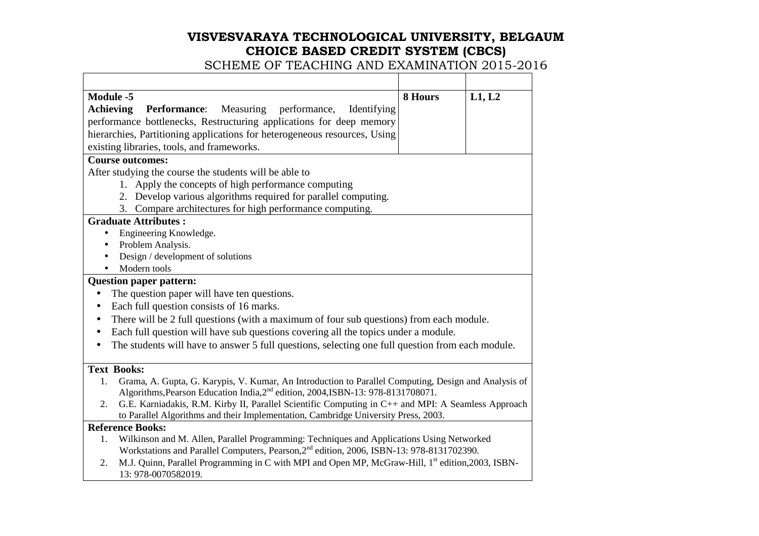| Module -5                                                                                                                                                                                                  | 8 Hours | L1, L2 |
|------------------------------------------------------------------------------------------------------------------------------------------------------------------------------------------------------------|---------|--------|
| Measuring performance,<br>Achieving<br><b>Performance:</b><br>Identifying                                                                                                                                  |         |        |
| performance bottlenecks, Restructuring applications for deep memory                                                                                                                                        |         |        |
| hierarchies, Partitioning applications for heterogeneous resources, Using                                                                                                                                  |         |        |
| existing libraries, tools, and frameworks.                                                                                                                                                                 |         |        |
| <b>Course outcomes:</b>                                                                                                                                                                                    |         |        |
| After studying the course the students will be able to                                                                                                                                                     |         |        |
| 1. Apply the concepts of high performance computing                                                                                                                                                        |         |        |
| 2. Develop various algorithms required for parallel computing.                                                                                                                                             |         |        |
| 3. Compare architectures for high performance computing.                                                                                                                                                   |         |        |
| <b>Graduate Attributes:</b>                                                                                                                                                                                |         |        |
| Engineering Knowledge.<br>$\bullet$                                                                                                                                                                        |         |        |
| Problem Analysis.<br>$\bullet$                                                                                                                                                                             |         |        |
| Design / development of solutions                                                                                                                                                                          |         |        |
| Modern tools                                                                                                                                                                                               |         |        |
| <b>Question paper pattern:</b>                                                                                                                                                                             |         |        |
| The question paper will have ten questions.<br>$\bullet$                                                                                                                                                   |         |        |
| Each full question consists of 16 marks.<br>$\bullet$                                                                                                                                                      |         |        |
| There will be 2 full questions (with a maximum of four sub questions) from each module.<br>$\bullet$                                                                                                       |         |        |
| Each full question will have sub questions covering all the topics under a module.<br>$\bullet$                                                                                                            |         |        |
| The students will have to answer 5 full questions, selecting one full question from each module.                                                                                                           |         |        |
| <b>Text Books:</b>                                                                                                                                                                                         |         |        |
| Grama, A. Gupta, G. Karypis, V. Kumar, An Introduction to Parallel Computing, Design and Analysis of<br>1.<br>Algorithms, Pearson Education India, 2 <sup>nd</sup> edition, 2004, ISBN-13: 978-8131708071. |         |        |
| G.E. Karniadakis, R.M. Kirby II, Parallel Scientific Computing in C++ and MPI: A Seamless Approach<br>2.<br>to Parallel Algorithms and their Implementation, Cambridge University Press, 2003.             |         |        |
| <b>Reference Books:</b>                                                                                                                                                                                    |         |        |
| Wilkinson and M. Allen, Parallel Programming: Techniques and Applications Using Networked<br>1.<br>Workstations and Parallel Computers, Pearson, 2 <sup>nd</sup> edition, 2006, ISBN-13: 978-8131702390.   |         |        |
| M.J. Quinn, Parallel Programming in C with MPI and Open MP, McGraw-Hill, 1 <sup>st</sup> edition, 2003, ISBN-<br>2.<br>13: 978-0070582019.                                                                 |         |        |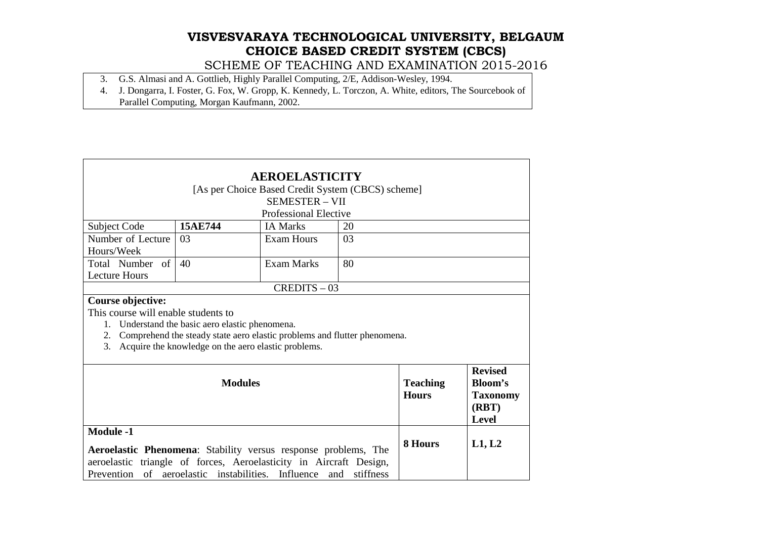- 3. G.S. Almasi and A. Gottlieb, Highly Parallel Computing, 2/E, Addison-Wesley, 1994.
- 4. J. Dongarra, I. Foster, G. Fox, W. Gropp, K. Kennedy, L. Torczon, A. White, editors, The Sourcebook ofParallel Computing, Morgan Kaufmann, 2002.

| <b>AEROELASTICITY</b>                                                                                                                                                                                                                                         |                                                   |                              |                                 |                                                                       |  |
|---------------------------------------------------------------------------------------------------------------------------------------------------------------------------------------------------------------------------------------------------------------|---------------------------------------------------|------------------------------|---------------------------------|-----------------------------------------------------------------------|--|
|                                                                                                                                                                                                                                                               | [As per Choice Based Credit System (CBCS) scheme] |                              |                                 |                                                                       |  |
|                                                                                                                                                                                                                                                               |                                                   | <b>SEMESTER - VII</b>        |                                 |                                                                       |  |
|                                                                                                                                                                                                                                                               |                                                   | <b>Professional Elective</b> |                                 |                                                                       |  |
| Subject Code                                                                                                                                                                                                                                                  | 15AE744                                           | <b>IA Marks</b>              | 20                              |                                                                       |  |
| Number of Lecture                                                                                                                                                                                                                                             | 03                                                | <b>Exam Hours</b>            | 03                              |                                                                       |  |
| Hours/Week                                                                                                                                                                                                                                                    |                                                   |                              |                                 |                                                                       |  |
| Total Number of                                                                                                                                                                                                                                               | 40                                                | Exam Marks                   | 80                              |                                                                       |  |
| <b>Lecture Hours</b>                                                                                                                                                                                                                                          |                                                   |                              |                                 |                                                                       |  |
|                                                                                                                                                                                                                                                               |                                                   | $CREDITS - 03$               |                                 |                                                                       |  |
| Course objective:<br>This course will enable students to<br>1.<br>Understand the basic aero elastic phenomena.<br>Comprehend the steady state aero elastic problems and flutter phenomena.<br>2.<br>3.<br>Acquire the knowledge on the aero elastic problems. |                                                   |                              |                                 |                                                                       |  |
| <b>Modules</b>                                                                                                                                                                                                                                                |                                                   |                              | <b>Teaching</b><br><b>Hours</b> | <b>Revised</b><br>Bloom's<br><b>Taxonomy</b><br>(RBT)<br><b>Level</b> |  |
| <b>Module -1</b><br>Aeroelastic Phenomena: Stability versus response problems, The<br>aeroelastic triangle of forces, Aeroelasticity in Aircraft Design,<br>of aeroelastic instabilities. Influence and<br>stiffness<br>Prevention                            |                                                   |                              | 8 Hours                         | L1, L2                                                                |  |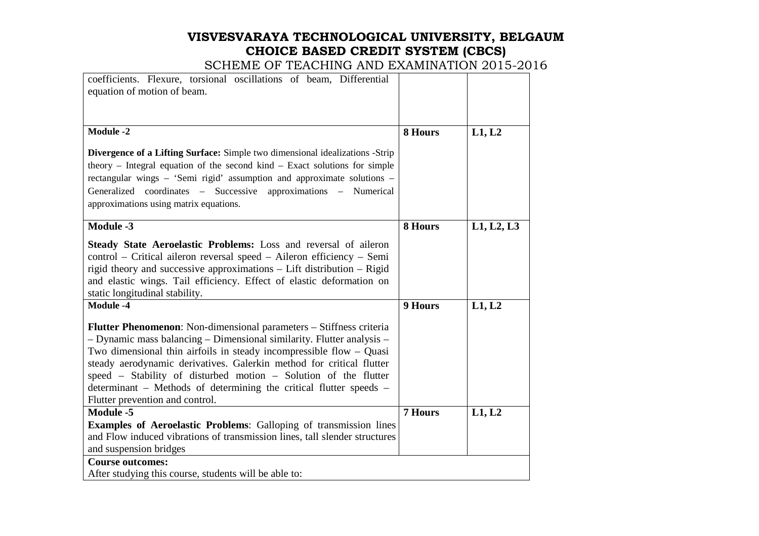| coefficients. Flexure, torsional oscillations of beam, Differential<br>equation of motion of beam.                                                                                                                                                                                                                                                                                                                                                                        |                |            |
|---------------------------------------------------------------------------------------------------------------------------------------------------------------------------------------------------------------------------------------------------------------------------------------------------------------------------------------------------------------------------------------------------------------------------------------------------------------------------|----------------|------------|
| <b>Module -2</b>                                                                                                                                                                                                                                                                                                                                                                                                                                                          | 8 Hours        | L1, L2     |
| Divergence of a Lifting Surface: Simple two dimensional idealizations -Strip<br>theory – Integral equation of the second kind – Exact solutions for simple<br>rectangular wings - 'Semi rigid' assumption and approximate solutions -<br>Generalized coordinates - Successive approximations - Numerical<br>approximations using matrix equations.                                                                                                                        |                |            |
| <b>Module -3</b>                                                                                                                                                                                                                                                                                                                                                                                                                                                          | 8 Hours        | L1, L2, L3 |
| Steady State Aeroelastic Problems: Loss and reversal of aileron<br>control – Critical aileron reversal speed – Aileron efficiency – Semi<br>rigid theory and successive approximations - Lift distribution - Rigid<br>and elastic wings. Tail efficiency. Effect of elastic deformation on<br>static longitudinal stability.                                                                                                                                              |                |            |
| <b>Module -4</b>                                                                                                                                                                                                                                                                                                                                                                                                                                                          | 9 Hours        | L1, L2     |
| Flutter Phenomenon: Non-dimensional parameters - Stiffness criteria<br>- Dynamic mass balancing - Dimensional similarity. Flutter analysis -<br>Two dimensional thin airfoils in steady incompressible flow $-$ Quasi<br>steady aerodynamic derivatives. Galerkin method for critical flutter<br>speed – Stability of disturbed motion – Solution of the flutter<br>determinant – Methods of determining the critical flutter speeds –<br>Flutter prevention and control. |                |            |
| Module -5                                                                                                                                                                                                                                                                                                                                                                                                                                                                 | <b>7 Hours</b> | L1, L2     |
| <b>Examples of Aeroelastic Problems:</b> Galloping of transmission lines<br>and Flow induced vibrations of transmission lines, tall slender structures<br>and suspension bridges                                                                                                                                                                                                                                                                                          |                |            |
| <b>Course outcomes:</b>                                                                                                                                                                                                                                                                                                                                                                                                                                                   |                |            |
| After studying this course, students will be able to:                                                                                                                                                                                                                                                                                                                                                                                                                     |                |            |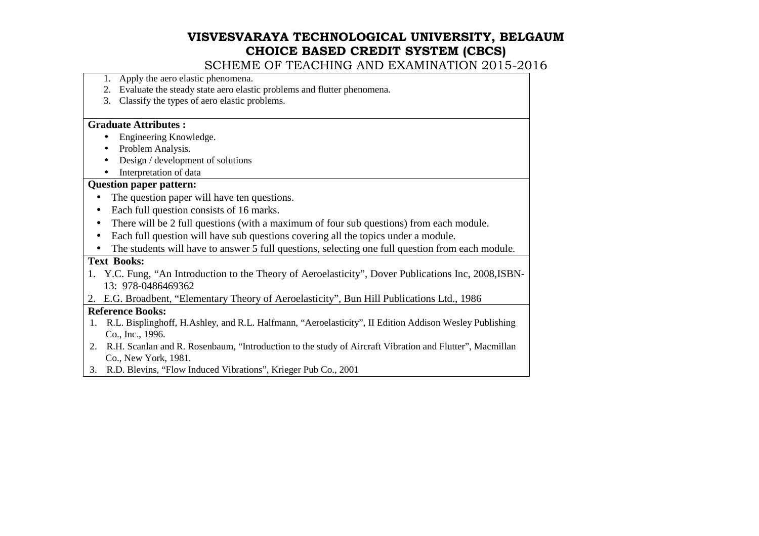SCHEME OF TEACHING AND EXAMINATION 2015-2016

- 1. Apply the aero elastic phenomena.
- 2. Evaluate the steady state aero elastic problems and flutter phenomena.
- 3. Classify the types of aero elastic problems.

#### **Graduate Attributes :**

- Engineering Knowledge. •
- •Problem Analysis.
- •Design / development of solutions
- •Interpretation of data

#### **Question paper pattern:**

- The question paper will have ten questions.
- Each full question consists of 16 marks.
- There will be 2 full questions (with a maximum of four sub questions) from each module.
- Each full question will have sub questions covering all the topics under a module.
- The students will have to answer 5 full questions, selecting one full question from each module.

#### **Text Books:**

- 1. Y.C. Fung, "An Introduction to the Theory of Aeroelasticity", Dover Publications Inc, 2008,ISBN-13: 978-0486469362
- 2. E.G. Broadbent, "Elementary Theory of Aeroelasticity", Bun Hill Publications Ltd., 1986

#### **Reference Books:**

- 1. R.L. Bisplinghoff, H.Ashley, and R.L. Halfmann, "Aeroelasticity", II Edition Addison Wesley PublishingCo., Inc., 1996.
- 2. R.H. Scanlan and R. Rosenbaum, "Introduction to the study of Aircraft Vibration and Flutter", Macmillan Co., New York, 1981.
- 3. R.D. Blevins, "Flow Induced Vibrations", Krieger Pub Co., 2001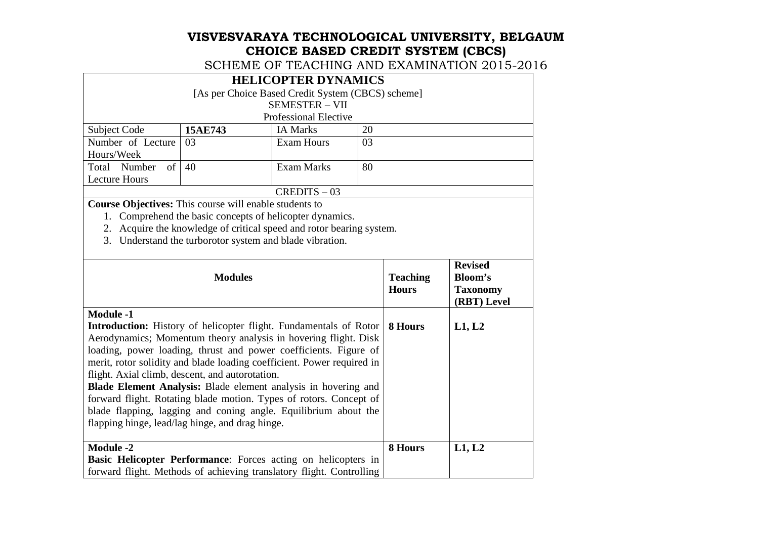SCHEME OF TEACHING AND EXAMINATION 2015-2016

#### **HELICOPTER DYNAMICS**  [As per Choice Based Credit System (CBCS) scheme] SEMESTER – VII Professional ElectiveSubject Code **15AE743**IA Marks 20<br>Exam Hours 03 Number of Lecture 03 Hours/Week Total Number of Exam Hours Lecture Hours Exam Marks 80

CREDITS – 03

**Course Objectives:** This course will enable students to

1. Comprehend the basic concepts of helicopter dynamics.

2. Acquire the knowledge of critical speed and rotor bearing system.

3. Understand the turborotor system and blade vibration.

| <b>Modules</b>                                                                                                                                                                                                                                                                                                                                                                                                                                                                                                                                                                                                                        | <b>Teaching</b><br><b>Hours</b> | <b>Revised</b><br><b>Bloom's</b><br><b>Taxonomy</b><br>(RBT) Level |
|---------------------------------------------------------------------------------------------------------------------------------------------------------------------------------------------------------------------------------------------------------------------------------------------------------------------------------------------------------------------------------------------------------------------------------------------------------------------------------------------------------------------------------------------------------------------------------------------------------------------------------------|---------------------------------|--------------------------------------------------------------------|
| <b>Module -1</b><br><b>Introduction:</b> History of helicopter flight. Fundamentals of Rotor<br>Aerodynamics; Momentum theory analysis in hovering flight. Disk<br>loading, power loading, thrust and power coefficients. Figure of<br>merit, rotor solidity and blade loading coefficient. Power required in<br>flight. Axial climb, descent, and autorotation.<br><b>Blade Element Analysis:</b> Blade element analysis in hovering and<br>forward flight. Rotating blade motion. Types of rotors. Concept of<br>blade flapping, lagging and coning angle. Equilibrium about the<br>flapping hinge, lead/lag hinge, and drag hinge. | 8 Hours                         | L1, L2                                                             |
| <b>Module -2</b>                                                                                                                                                                                                                                                                                                                                                                                                                                                                                                                                                                                                                      | 8 Hours                         | L1, L2                                                             |
| Basic Helicopter Performance: Forces acting on helicopters in                                                                                                                                                                                                                                                                                                                                                                                                                                                                                                                                                                         |                                 |                                                                    |
| forward flight. Methods of achieving translatory flight. Controlling                                                                                                                                                                                                                                                                                                                                                                                                                                                                                                                                                                  |                                 |                                                                    |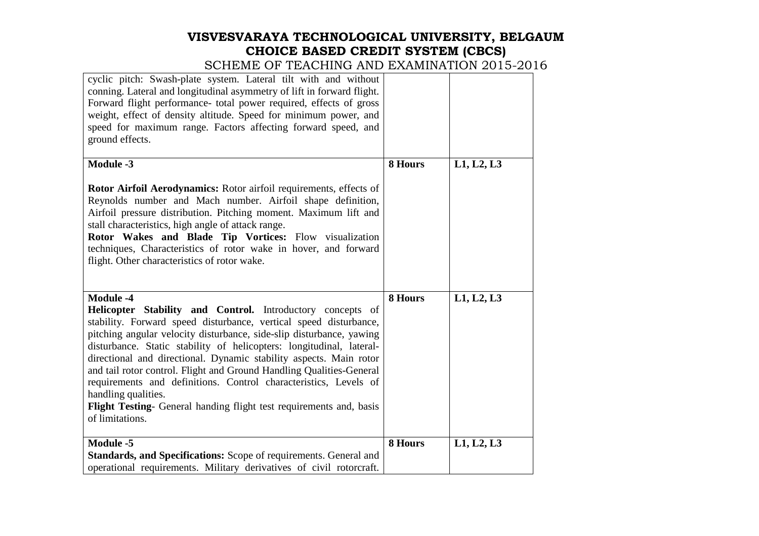| cyclic pitch: Swash-plate system. Lateral tilt with and without<br>conning. Lateral and longitudinal asymmetry of lift in forward flight.<br>Forward flight performance- total power required, effects of gross<br>weight, effect of density altitude. Speed for minimum power, and<br>speed for maximum range. Factors affecting forward speed, and<br>ground effects.                                                                                                                                                                                                                                                         |         |            |
|---------------------------------------------------------------------------------------------------------------------------------------------------------------------------------------------------------------------------------------------------------------------------------------------------------------------------------------------------------------------------------------------------------------------------------------------------------------------------------------------------------------------------------------------------------------------------------------------------------------------------------|---------|------------|
| Module -3                                                                                                                                                                                                                                                                                                                                                                                                                                                                                                                                                                                                                       | 8 Hours | L1, L2, L3 |
| Rotor Airfoil Aerodynamics: Rotor airfoil requirements, effects of<br>Reynolds number and Mach number. Airfoil shape definition,<br>Airfoil pressure distribution. Pitching moment. Maximum lift and<br>stall characteristics, high angle of attack range.<br>Rotor Wakes and Blade Tip Vortices: Flow visualization<br>techniques, Characteristics of rotor wake in hover, and forward<br>flight. Other characteristics of rotor wake.                                                                                                                                                                                         |         |            |
| Module -4<br>Helicopter Stability and Control. Introductory concepts of<br>stability. Forward speed disturbance, vertical speed disturbance,<br>pitching angular velocity disturbance, side-slip disturbance, yawing<br>disturbance. Static stability of helicopters: longitudinal, lateral-<br>directional and directional. Dynamic stability aspects. Main rotor<br>and tail rotor control. Flight and Ground Handling Qualities-General<br>requirements and definitions. Control characteristics, Levels of<br>handling qualities.<br>Flight Testing- General handing flight test requirements and, basis<br>of limitations. | 8 Hours | L1, L2, L3 |
| Module -5                                                                                                                                                                                                                                                                                                                                                                                                                                                                                                                                                                                                                       | 8 Hours | L1, L2, L3 |
| Standards, and Specifications: Scope of requirements. General and                                                                                                                                                                                                                                                                                                                                                                                                                                                                                                                                                               |         |            |
| operational requirements. Military derivatives of civil rotorcraft.                                                                                                                                                                                                                                                                                                                                                                                                                                                                                                                                                             |         |            |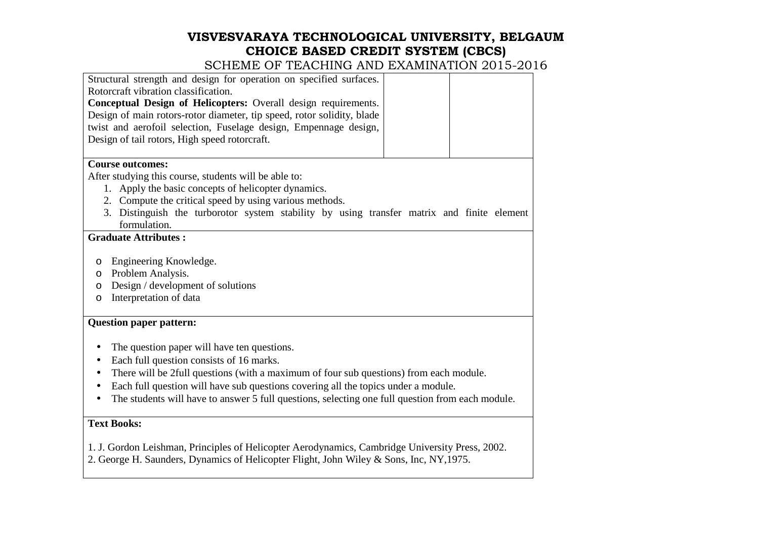| Structural strength and design for operation on specified surfaces.                                        |  |
|------------------------------------------------------------------------------------------------------------|--|
| Rotorcraft vibration classification.                                                                       |  |
| Conceptual Design of Helicopters: Overall design requirements.                                             |  |
| Design of main rotors-rotor diameter, tip speed, rotor solidity, blade                                     |  |
| twist and aerofoil selection, Fuselage design, Empennage design,                                           |  |
| Design of tail rotors, High speed rotorcraft.                                                              |  |
| <b>Course outcomes:</b>                                                                                    |  |
| After studying this course, students will be able to:                                                      |  |
| 1. Apply the basic concepts of helicopter dynamics.                                                        |  |
| 2. Compute the critical speed by using various methods.                                                    |  |
| 3. Distinguish the turborotor system stability by using transfer matrix and finite element<br>formulation. |  |
| <b>Graduate Attributes:</b>                                                                                |  |
| Engineering Knowledge.<br>O                                                                                |  |
| Problem Analysis.<br>$\circ$                                                                               |  |
| Design / development of solutions<br>$\circ$                                                               |  |
| Interpretation of data<br>$\circ$                                                                          |  |
| <b>Question paper pattern:</b>                                                                             |  |
| The question paper will have ten questions.                                                                |  |
| Each full question consists of 16 marks.<br>٠                                                              |  |
| There will be 2full questions (with a maximum of four sub questions) from each module.                     |  |
| Each full question will have sub questions covering all the topics under a module.                         |  |
| The students will have to answer 5 full questions, selecting one full question from each module.           |  |
| <b>Text Books:</b>                                                                                         |  |
| 1. J. Gordon Leishman, Principles of Helicopter Aerodynamics, Cambridge University Press, 2002.            |  |
| 2. George H. Saunders, Dynamics of Helicopter Flight, John Wiley & Sons, Inc, NY, 1975.                    |  |
|                                                                                                            |  |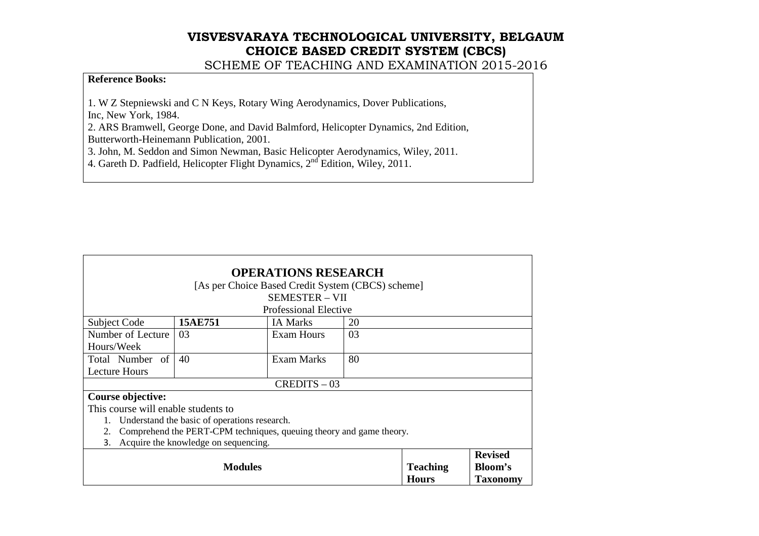SCHEME OF TEACHING AND EXAMINATION 2015-2016

#### **Reference Books:**

1. W Z Stepniewski and C N Keys, Rotary Wing Aerodynamics, Dover Publications,

Inc, New York, 1984.

 2. ARS Bramwell, George Done, and David Balmford, Helicopter Dynamics, 2nd Edition, Butterworth-Heinemann Publication, 2001.

3. John, M. Seddon and Simon Newman, Basic Helicopter Aerodynamics, Wiley, 2011.<br>4. Gareth D. Padfield, Helicopter Flight Dynamics, 2<sup>nd</sup> Edition, Wiley, 2011.

| <b>OPERATIONS RESEARCH</b>          |                                                                     |                                                   |    |                 |                 |
|-------------------------------------|---------------------------------------------------------------------|---------------------------------------------------|----|-----------------|-----------------|
|                                     |                                                                     | [As per Choice Based Credit System (CBCS) scheme] |    |                 |                 |
|                                     |                                                                     | <b>SEMESTER - VII</b>                             |    |                 |                 |
|                                     |                                                                     | Professional Elective                             |    |                 |                 |
| <b>Subject Code</b>                 | 15AE751                                                             | <b>IA Marks</b>                                   | 20 |                 |                 |
| Number of Lecture                   | 03                                                                  | <b>Exam Hours</b>                                 | 03 |                 |                 |
| Hours/Week                          |                                                                     |                                                   |    |                 |                 |
| Total Number of                     | 40                                                                  | Exam Marks                                        | 80 |                 |                 |
| <b>Lecture Hours</b>                |                                                                     |                                                   |    |                 |                 |
|                                     |                                                                     | $CREDITS - 03$                                    |    |                 |                 |
| Course objective:                   |                                                                     |                                                   |    |                 |                 |
| This course will enable students to |                                                                     |                                                   |    |                 |                 |
|                                     | Understand the basic of operations research.                        |                                                   |    |                 |                 |
| 2.                                  | Comprehend the PERT-CPM techniques, queuing theory and game theory. |                                                   |    |                 |                 |
| 3.                                  | Acquire the knowledge on sequencing.                                |                                                   |    |                 |                 |
|                                     | <b>Revised</b>                                                      |                                                   |    |                 |                 |
|                                     | <b>Modules</b>                                                      |                                                   |    | <b>Teaching</b> | Bloom's         |
|                                     |                                                                     |                                                   |    | <b>Hours</b>    | <b>Taxonomy</b> |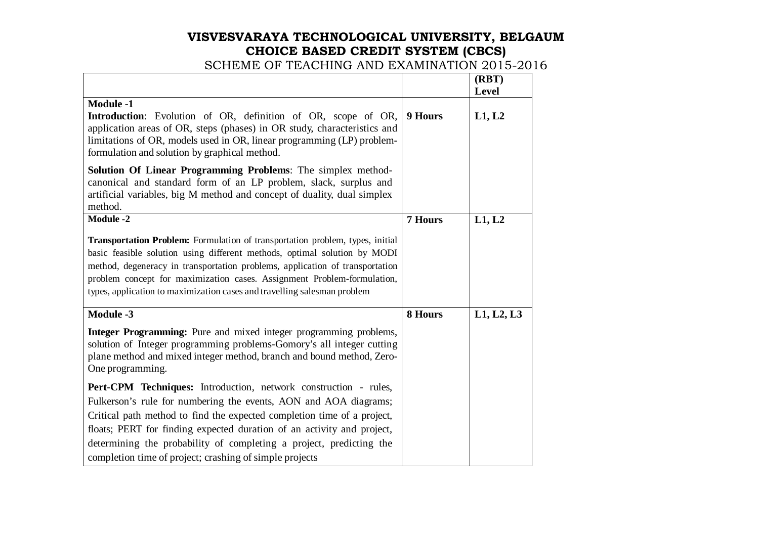|                                                                                                                                                                                                                                                                                                                                                                                                   |                | (RBT)<br><b>Level</b> |
|---------------------------------------------------------------------------------------------------------------------------------------------------------------------------------------------------------------------------------------------------------------------------------------------------------------------------------------------------------------------------------------------------|----------------|-----------------------|
| <b>Module -1</b><br>Introduction: Evolution of OR, definition of OR, scope of OR,<br>application areas of OR, steps (phases) in OR study, characteristics and<br>limitations of OR, models used in OR, linear programming (LP) problem-<br>formulation and solution by graphical method.                                                                                                          | 9 Hours        | L1, L2                |
| Solution Of Linear Programming Problems: The simplex method-<br>canonical and standard form of an LP problem, slack, surplus and<br>artificial variables, big M method and concept of duality, dual simplex<br>method.                                                                                                                                                                            |                |                       |
| <b>Module -2</b>                                                                                                                                                                                                                                                                                                                                                                                  | <b>7 Hours</b> | L1, L2                |
| Transportation Problem: Formulation of transportation problem, types, initial<br>basic feasible solution using different methods, optimal solution by MODI<br>method, degeneracy in transportation problems, application of transportation<br>problem concept for maximization cases. Assignment Problem-formulation,<br>types, application to maximization cases and travelling salesman problem |                |                       |
| <b>Module -3</b>                                                                                                                                                                                                                                                                                                                                                                                  | 8 Hours        | L1, L2, L3            |
| Integer Programming: Pure and mixed integer programming problems,<br>solution of Integer programming problems-Gomory's all integer cutting<br>plane method and mixed integer method, branch and bound method, Zero-<br>One programming.                                                                                                                                                           |                |                       |
| Pert-CPM Techniques: Introduction, network construction - rules,<br>Fulkerson's rule for numbering the events, AON and AOA diagrams;<br>Critical path method to find the expected completion time of a project,<br>floats; PERT for finding expected duration of an activity and project,<br>determining the probability of completing a project, predicting the                                  |                |                       |
| completion time of project; crashing of simple projects                                                                                                                                                                                                                                                                                                                                           |                |                       |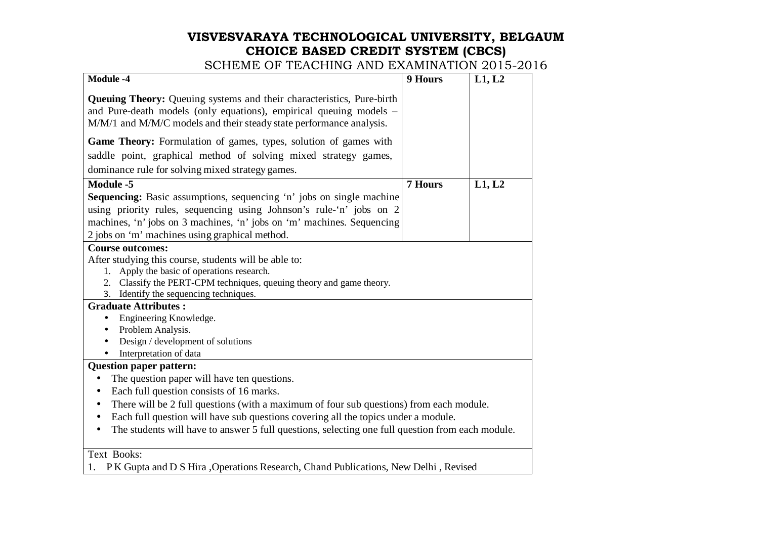SCHEME OF TEACHING AND EXAMINATION 2015-2016

| <b>Queuing Theory:</b> Queuing systems and their characteristics, Pure-birth<br>and Pure-death models (only equations), empirical queuing models -<br>M/M/1 and M/M/C models and their steady state performance analysis.<br>Game Theory: Formulation of games, types, solution of games with<br>saddle point, graphical method of solving mixed strategy games,<br>dominance rule for solving mixed strategy games.<br><b>Module -5</b><br><b>7 Hours</b><br>L1, L2<br><b>Sequencing:</b> Basic assumptions, sequencing 'n' jobs on single machine<br>using priority rules, sequencing using Johnson's rule-'n' jobs on 2<br>machines, 'n' jobs on 3 machines, 'n' jobs on 'm' machines. Sequencing<br>2 jobs on 'm' machines using graphical method.<br><b>Course outcomes:</b><br>After studying this course, students will be able to:<br>Apply the basic of operations research.<br>1.<br>Classify the PERT-CPM techniques, queuing theory and game theory.<br>2.<br>Identify the sequencing techniques.<br>3.<br><b>Graduate Attributes:</b><br>Engineering Knowledge.<br>Problem Analysis.<br>Design / development of solutions<br>Interpretation of data<br><b>Question paper pattern:</b><br>The question paper will have ten questions.<br>$\bullet$<br>Each full question consists of 16 marks.<br>$\bullet$<br>There will be 2 full questions (with a maximum of four sub questions) from each module.<br>٠<br>Each full question will have sub questions covering all the topics under a module. | <b>Module -4</b> | 9 Hours | L1, L2 |  |  |
|---------------------------------------------------------------------------------------------------------------------------------------------------------------------------------------------------------------------------------------------------------------------------------------------------------------------------------------------------------------------------------------------------------------------------------------------------------------------------------------------------------------------------------------------------------------------------------------------------------------------------------------------------------------------------------------------------------------------------------------------------------------------------------------------------------------------------------------------------------------------------------------------------------------------------------------------------------------------------------------------------------------------------------------------------------------------------------------------------------------------------------------------------------------------------------------------------------------------------------------------------------------------------------------------------------------------------------------------------------------------------------------------------------------------------------------------------------------------------------------------------------------|------------------|---------|--------|--|--|
|                                                                                                                                                                                                                                                                                                                                                                                                                                                                                                                                                                                                                                                                                                                                                                                                                                                                                                                                                                                                                                                                                                                                                                                                                                                                                                                                                                                                                                                                                                               |                  |         |        |  |  |
|                                                                                                                                                                                                                                                                                                                                                                                                                                                                                                                                                                                                                                                                                                                                                                                                                                                                                                                                                                                                                                                                                                                                                                                                                                                                                                                                                                                                                                                                                                               |                  |         |        |  |  |
|                                                                                                                                                                                                                                                                                                                                                                                                                                                                                                                                                                                                                                                                                                                                                                                                                                                                                                                                                                                                                                                                                                                                                                                                                                                                                                                                                                                                                                                                                                               |                  |         |        |  |  |
|                                                                                                                                                                                                                                                                                                                                                                                                                                                                                                                                                                                                                                                                                                                                                                                                                                                                                                                                                                                                                                                                                                                                                                                                                                                                                                                                                                                                                                                                                                               |                  |         |        |  |  |
|                                                                                                                                                                                                                                                                                                                                                                                                                                                                                                                                                                                                                                                                                                                                                                                                                                                                                                                                                                                                                                                                                                                                                                                                                                                                                                                                                                                                                                                                                                               |                  |         |        |  |  |
|                                                                                                                                                                                                                                                                                                                                                                                                                                                                                                                                                                                                                                                                                                                                                                                                                                                                                                                                                                                                                                                                                                                                                                                                                                                                                                                                                                                                                                                                                                               |                  |         |        |  |  |
|                                                                                                                                                                                                                                                                                                                                                                                                                                                                                                                                                                                                                                                                                                                                                                                                                                                                                                                                                                                                                                                                                                                                                                                                                                                                                                                                                                                                                                                                                                               |                  |         |        |  |  |
|                                                                                                                                                                                                                                                                                                                                                                                                                                                                                                                                                                                                                                                                                                                                                                                                                                                                                                                                                                                                                                                                                                                                                                                                                                                                                                                                                                                                                                                                                                               |                  |         |        |  |  |
|                                                                                                                                                                                                                                                                                                                                                                                                                                                                                                                                                                                                                                                                                                                                                                                                                                                                                                                                                                                                                                                                                                                                                                                                                                                                                                                                                                                                                                                                                                               |                  |         |        |  |  |
|                                                                                                                                                                                                                                                                                                                                                                                                                                                                                                                                                                                                                                                                                                                                                                                                                                                                                                                                                                                                                                                                                                                                                                                                                                                                                                                                                                                                                                                                                                               |                  |         |        |  |  |
|                                                                                                                                                                                                                                                                                                                                                                                                                                                                                                                                                                                                                                                                                                                                                                                                                                                                                                                                                                                                                                                                                                                                                                                                                                                                                                                                                                                                                                                                                                               |                  |         |        |  |  |
|                                                                                                                                                                                                                                                                                                                                                                                                                                                                                                                                                                                                                                                                                                                                                                                                                                                                                                                                                                                                                                                                                                                                                                                                                                                                                                                                                                                                                                                                                                               |                  |         |        |  |  |
|                                                                                                                                                                                                                                                                                                                                                                                                                                                                                                                                                                                                                                                                                                                                                                                                                                                                                                                                                                                                                                                                                                                                                                                                                                                                                                                                                                                                                                                                                                               |                  |         |        |  |  |
|                                                                                                                                                                                                                                                                                                                                                                                                                                                                                                                                                                                                                                                                                                                                                                                                                                                                                                                                                                                                                                                                                                                                                                                                                                                                                                                                                                                                                                                                                                               |                  |         |        |  |  |
|                                                                                                                                                                                                                                                                                                                                                                                                                                                                                                                                                                                                                                                                                                                                                                                                                                                                                                                                                                                                                                                                                                                                                                                                                                                                                                                                                                                                                                                                                                               |                  |         |        |  |  |
|                                                                                                                                                                                                                                                                                                                                                                                                                                                                                                                                                                                                                                                                                                                                                                                                                                                                                                                                                                                                                                                                                                                                                                                                                                                                                                                                                                                                                                                                                                               |                  |         |        |  |  |
|                                                                                                                                                                                                                                                                                                                                                                                                                                                                                                                                                                                                                                                                                                                                                                                                                                                                                                                                                                                                                                                                                                                                                                                                                                                                                                                                                                                                                                                                                                               |                  |         |        |  |  |
|                                                                                                                                                                                                                                                                                                                                                                                                                                                                                                                                                                                                                                                                                                                                                                                                                                                                                                                                                                                                                                                                                                                                                                                                                                                                                                                                                                                                                                                                                                               |                  |         |        |  |  |
|                                                                                                                                                                                                                                                                                                                                                                                                                                                                                                                                                                                                                                                                                                                                                                                                                                                                                                                                                                                                                                                                                                                                                                                                                                                                                                                                                                                                                                                                                                               |                  |         |        |  |  |
|                                                                                                                                                                                                                                                                                                                                                                                                                                                                                                                                                                                                                                                                                                                                                                                                                                                                                                                                                                                                                                                                                                                                                                                                                                                                                                                                                                                                                                                                                                               |                  |         |        |  |  |
|                                                                                                                                                                                                                                                                                                                                                                                                                                                                                                                                                                                                                                                                                                                                                                                                                                                                                                                                                                                                                                                                                                                                                                                                                                                                                                                                                                                                                                                                                                               |                  |         |        |  |  |
|                                                                                                                                                                                                                                                                                                                                                                                                                                                                                                                                                                                                                                                                                                                                                                                                                                                                                                                                                                                                                                                                                                                                                                                                                                                                                                                                                                                                                                                                                                               |                  |         |        |  |  |
|                                                                                                                                                                                                                                                                                                                                                                                                                                                                                                                                                                                                                                                                                                                                                                                                                                                                                                                                                                                                                                                                                                                                                                                                                                                                                                                                                                                                                                                                                                               |                  |         |        |  |  |
|                                                                                                                                                                                                                                                                                                                                                                                                                                                                                                                                                                                                                                                                                                                                                                                                                                                                                                                                                                                                                                                                                                                                                                                                                                                                                                                                                                                                                                                                                                               |                  |         |        |  |  |
|                                                                                                                                                                                                                                                                                                                                                                                                                                                                                                                                                                                                                                                                                                                                                                                                                                                                                                                                                                                                                                                                                                                                                                                                                                                                                                                                                                                                                                                                                                               |                  |         |        |  |  |
|                                                                                                                                                                                                                                                                                                                                                                                                                                                                                                                                                                                                                                                                                                                                                                                                                                                                                                                                                                                                                                                                                                                                                                                                                                                                                                                                                                                                                                                                                                               |                  |         |        |  |  |
|                                                                                                                                                                                                                                                                                                                                                                                                                                                                                                                                                                                                                                                                                                                                                                                                                                                                                                                                                                                                                                                                                                                                                                                                                                                                                                                                                                                                                                                                                                               |                  |         |        |  |  |
| The students will have to answer 5 full questions, selecting one full question from each module.                                                                                                                                                                                                                                                                                                                                                                                                                                                                                                                                                                                                                                                                                                                                                                                                                                                                                                                                                                                                                                                                                                                                                                                                                                                                                                                                                                                                              |                  |         |        |  |  |
|                                                                                                                                                                                                                                                                                                                                                                                                                                                                                                                                                                                                                                                                                                                                                                                                                                                                                                                                                                                                                                                                                                                                                                                                                                                                                                                                                                                                                                                                                                               | Text Books:      |         |        |  |  |

1. P K Gupta and D S Hira ,Operations Research, Chand Publications, New Delhi , Revised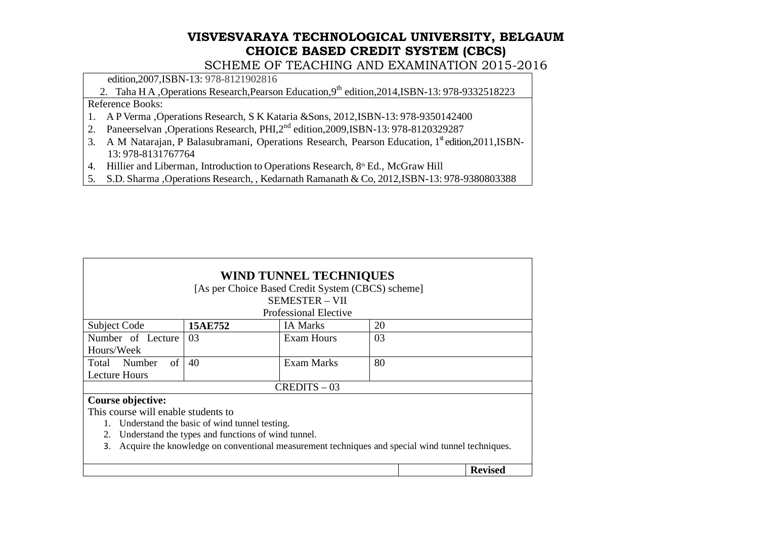SCHEME OF TEACHING AND EXAMINATION 2015-2016

edition,2007,ISBN-13: 978-8121902816

2. Taha H A , Operations Research, Pearson Education, 9<sup>th</sup> edition, 2014, ISBN-13: 978-9332518223

Reference Books:

- 1. A P Verma ,Operations Research, S K Kataria &Sons, 2012,ISBN-13: 978-9350142400
- 2. Paneerselvan ,Operations Research, PHI,2<sup>nd</sup> edition,2009,ISBN-13: 978-8120329287
- 3. A M Natarajan, P Balasubramani, Operations Research, Pearson Education, 1<sup>st</sup> edition, 2011, ISBN-13: 978-8131767764
- 4. Hillier and Liberman, Introduction to Operations Research, 8<sup>th</sup> Ed., McGraw Hill
- 5. S.D. Sharma ,Operations Research, , Kedarnath Ramanath & Co, 2012,ISBN-13: 978-9380803388

| <b>WIND TUNNEL TECHNIQUES</b>                                                                          |         |                                                   |    |  |                |
|--------------------------------------------------------------------------------------------------------|---------|---------------------------------------------------|----|--|----------------|
|                                                                                                        |         | [As per Choice Based Credit System (CBCS) scheme] |    |  |                |
|                                                                                                        |         | <b>SEMESTER - VII</b>                             |    |  |                |
|                                                                                                        |         | Professional Elective                             |    |  |                |
| <b>Subject Code</b>                                                                                    | 15AE752 | <b>IA Marks</b>                                   | 20 |  |                |
| Number of Lecture                                                                                      | 03      | Exam Hours                                        | 03 |  |                |
| Hours/Week                                                                                             |         |                                                   |    |  |                |
| of<br>Total Number                                                                                     | 40      | <b>Exam Marks</b>                                 | 80 |  |                |
| <b>Lecture Hours</b>                                                                                   |         |                                                   |    |  |                |
|                                                                                                        |         | $CREDITS - 03$                                    |    |  |                |
| Course objective:                                                                                      |         |                                                   |    |  |                |
| This course will enable students to                                                                    |         |                                                   |    |  |                |
| Understand the basic of wind tunnel testing.                                                           |         |                                                   |    |  |                |
| Understand the types and functions of wind tunnel.<br>2.                                               |         |                                                   |    |  |                |
| Acquire the knowledge on conventional measurement techniques and special wind tunnel techniques.<br>3. |         |                                                   |    |  |                |
|                                                                                                        |         |                                                   |    |  | <b>Revised</b> |
|                                                                                                        |         |                                                   |    |  |                |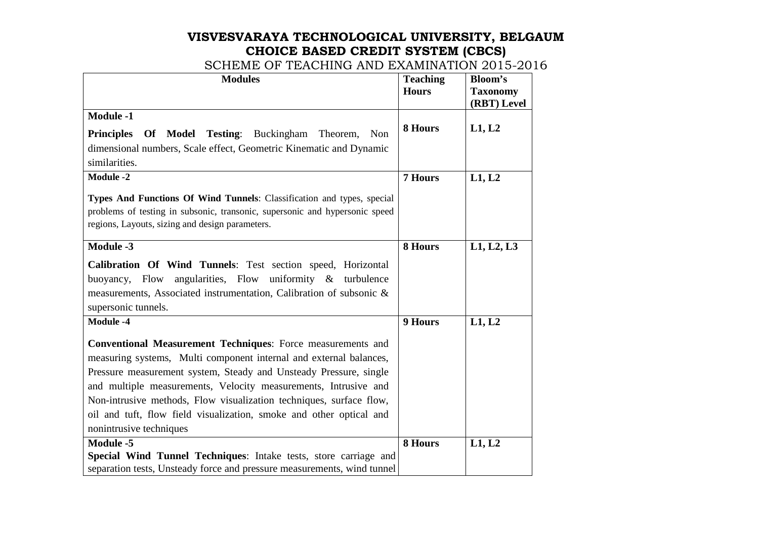| <b>Modules</b>                                                                                                                                                                                                                                                                                                                                                                                                                                     | <b>Teaching</b><br><b>Hours</b> | Bloom's<br><b>Taxonomy</b><br>(RBT) Level |
|----------------------------------------------------------------------------------------------------------------------------------------------------------------------------------------------------------------------------------------------------------------------------------------------------------------------------------------------------------------------------------------------------------------------------------------------------|---------------------------------|-------------------------------------------|
| <b>Module -1</b><br><b>Testing:</b> Buckingham<br><b>Principles</b><br>Of<br>Model<br>Theorem,<br>Non                                                                                                                                                                                                                                                                                                                                              | 8 Hours                         | L1, L2                                    |
| dimensional numbers, Scale effect, Geometric Kinematic and Dynamic<br>similarities.                                                                                                                                                                                                                                                                                                                                                                |                                 |                                           |
| <b>Module -2</b>                                                                                                                                                                                                                                                                                                                                                                                                                                   | <b>7 Hours</b>                  | L1, L2                                    |
| Types And Functions Of Wind Tunnels: Classification and types, special<br>problems of testing in subsonic, transonic, supersonic and hypersonic speed<br>regions, Layouts, sizing and design parameters.                                                                                                                                                                                                                                           |                                 |                                           |
| Module -3                                                                                                                                                                                                                                                                                                                                                                                                                                          | 8 Hours                         | L1, L2, L3                                |
| Calibration Of Wind Tunnels: Test section speed, Horizontal<br>angularities, Flow uniformity $\&$ turbulence<br>Flow<br>buoyancy,<br>measurements, Associated instrumentation, Calibration of subsonic &<br>supersonic tunnels.                                                                                                                                                                                                                    |                                 |                                           |
| <b>Module -4</b>                                                                                                                                                                                                                                                                                                                                                                                                                                   | 9 Hours                         | L1, L2                                    |
| Conventional Measurement Techniques: Force measurements and<br>measuring systems, Multi component internal and external balances,<br>Pressure measurement system, Steady and Unsteady Pressure, single<br>and multiple measurements, Velocity measurements, Intrusive and<br>Non-intrusive methods, Flow visualization techniques, surface flow,<br>oil and tuft, flow field visualization, smoke and other optical and<br>nonintrusive techniques |                                 |                                           |
| Module -5                                                                                                                                                                                                                                                                                                                                                                                                                                          | 8 Hours                         | L1, L2                                    |
| Special Wind Tunnel Techniques: Intake tests, store carriage and<br>separation tests, Unsteady force and pressure measurements, wind tunnel                                                                                                                                                                                                                                                                                                        |                                 |                                           |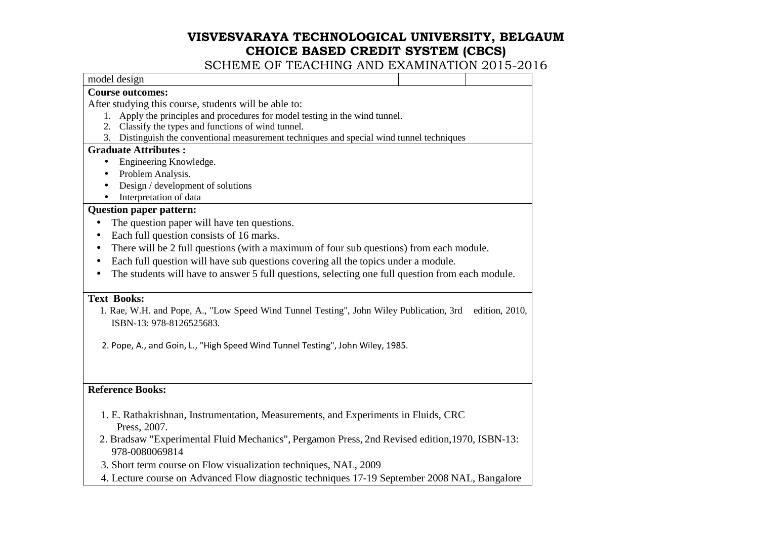| model design                                                                                                     |  |                |  |
|------------------------------------------------------------------------------------------------------------------|--|----------------|--|
| <b>Course outcomes:</b>                                                                                          |  |                |  |
| After studying this course, students will be able to:                                                            |  |                |  |
| Apply the principles and procedures for model testing in the wind tunnel.<br>1.                                  |  |                |  |
| 2. Classify the types and functions of wind tunnel.                                                              |  |                |  |
| 3. Distinguish the conventional measurement techniques and special wind tunnel techniques                        |  |                |  |
| <b>Graduate Attributes:</b>                                                                                      |  |                |  |
| Engineering Knowledge.<br>$\bullet$                                                                              |  |                |  |
| Problem Analysis.                                                                                                |  |                |  |
| Design / development of solutions                                                                                |  |                |  |
| Interpretation of data                                                                                           |  |                |  |
| <b>Question paper pattern:</b>                                                                                   |  |                |  |
| The question paper will have ten questions.<br>$\bullet$                                                         |  |                |  |
| Each full question consists of 16 marks.<br>$\bullet$                                                            |  |                |  |
| There will be 2 full questions (with a maximum of four sub questions) from each module.<br>$\bullet$             |  |                |  |
| Each full question will have sub questions covering all the topics under a module.<br>$\bullet$                  |  |                |  |
| The students will have to answer 5 full questions, selecting one full question from each module.<br>$\bullet$    |  |                |  |
|                                                                                                                  |  |                |  |
| <b>Text Books:</b>                                                                                               |  |                |  |
| 1. Rae, W.H. and Pope, A., "Low Speed Wind Tunnel Testing", John Wiley Publication, 3rd                          |  | edition, 2010, |  |
| ISBN-13: 978-8126525683.                                                                                         |  |                |  |
| 2. Pope, A., and Goin, L., "High Speed Wind Tunnel Testing", John Wiley, 1985.                                   |  |                |  |
|                                                                                                                  |  |                |  |
|                                                                                                                  |  |                |  |
| <b>Reference Books:</b>                                                                                          |  |                |  |
| 1. E. Rathakrishnan, Instrumentation, Measurements, and Experiments in Fluids, CRC                               |  |                |  |
| Press, 2007.                                                                                                     |  |                |  |
| 2. Bradsaw "Experimental Fluid Mechanics", Pergamon Press, 2nd Revised edition, 1970, ISBN-13:<br>978-0080069814 |  |                |  |
| 3. Short term course on Flow visualization techniques, NAL, 2009                                                 |  |                |  |
| 4. Lecture course on Advanced Flow diagnostic techniques 17-19 September 2008 NAL, Bangalore                     |  |                |  |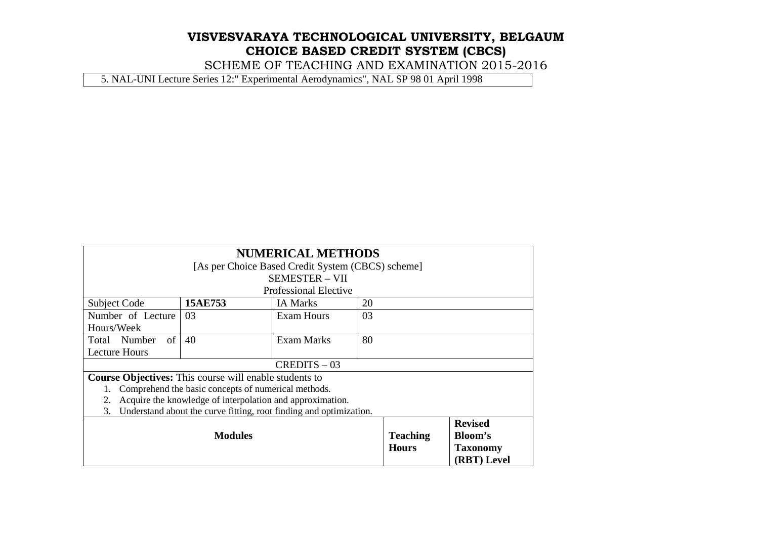SCHEME OF TEACHING AND EXAMINATION 2015-2016

5. NAL-UNI Lecture Series 12:" Experimental Aerodynamics", NAL SP 98 01 April 1998

| <b>NUMERICAL METHODS</b>                                                 |                                                           |                                                   |    |              |                 |
|--------------------------------------------------------------------------|-----------------------------------------------------------|---------------------------------------------------|----|--------------|-----------------|
|                                                                          |                                                           | [As per Choice Based Credit System (CBCS) scheme] |    |              |                 |
|                                                                          |                                                           | <b>SEMESTER - VII</b>                             |    |              |                 |
|                                                                          |                                                           | <b>Professional Elective</b>                      |    |              |                 |
| <b>Subject Code</b>                                                      | 15AE753                                                   | <b>IA</b> Marks                                   | 20 |              |                 |
| Number of Lecture                                                        | 03                                                        | Exam Hours                                        | 03 |              |                 |
| Hours/Week                                                               |                                                           |                                                   |    |              |                 |
| $\sigma$ f<br>Total Number                                               | 40                                                        | Exam Marks                                        | 80 |              |                 |
| <b>Lecture Hours</b>                                                     |                                                           |                                                   |    |              |                 |
|                                                                          |                                                           | $CREDITS - 03$                                    |    |              |                 |
| <b>Course Objectives:</b> This course will enable students to            |                                                           |                                                   |    |              |                 |
|                                                                          | Comprehend the basic concepts of numerical methods.       |                                                   |    |              |                 |
| 2.                                                                       | Acquire the knowledge of interpolation and approximation. |                                                   |    |              |                 |
| Understand about the curve fitting, root finding and optimization.<br>3. |                                                           |                                                   |    |              |                 |
| <b>Revised</b>                                                           |                                                           |                                                   |    |              |                 |
| Bloom's<br><b>Modules</b><br><b>Teaching</b>                             |                                                           |                                                   |    |              |                 |
|                                                                          |                                                           |                                                   |    | <b>Hours</b> | <b>Taxonomy</b> |
|                                                                          |                                                           |                                                   |    |              | (RBT) Level     |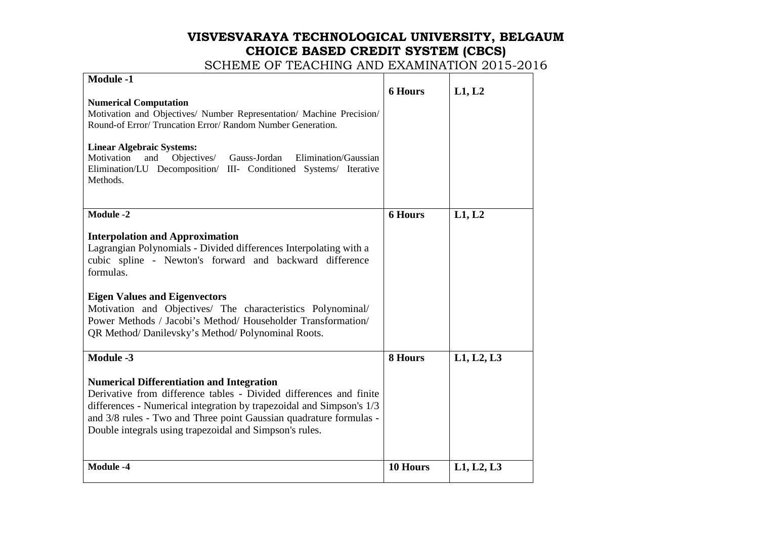| <b>Module -1</b><br><b>Numerical Computation</b><br>Motivation and Objectives/ Number Representation/ Machine Precision/<br>Round-of Error/ Truncation Error/ Random Number Generation.<br><b>Linear Algebraic Systems:</b><br>Motivation<br>and<br>Objectives/<br>Gauss-Jordan<br>Elimination/Gaussian<br>Elimination/LU Decomposition/ III- Conditioned Systems/ Iterative                                                       | <b>6 Hours</b> | L1, L2     |
|------------------------------------------------------------------------------------------------------------------------------------------------------------------------------------------------------------------------------------------------------------------------------------------------------------------------------------------------------------------------------------------------------------------------------------|----------------|------------|
| Methods.                                                                                                                                                                                                                                                                                                                                                                                                                           |                |            |
| <b>Module -2</b><br><b>Interpolation and Approximation</b><br>Lagrangian Polynomials - Divided differences Interpolating with a<br>cubic spline - Newton's forward and backward difference<br>formulas.<br><b>Eigen Values and Eigenvectors</b><br>Motivation and Objectives/ The characteristics Polynominal/<br>Power Methods / Jacobi's Method/ Householder Transformation/<br>QR Method/Danilevsky's Method/Polynominal Roots. | <b>6 Hours</b> | L1, L2     |
| <b>Module -3</b><br><b>Numerical Differentiation and Integration</b><br>Derivative from difference tables - Divided differences and finite<br>differences - Numerical integration by trapezoidal and Simpson's 1/3<br>and 3/8 rules - Two and Three point Gaussian quadrature formulas -<br>Double integrals using trapezoidal and Simpson's rules.                                                                                | 8 Hours        | L1, L2, L3 |
| <b>Module -4</b>                                                                                                                                                                                                                                                                                                                                                                                                                   | 10 Hours       | L1, L2, L3 |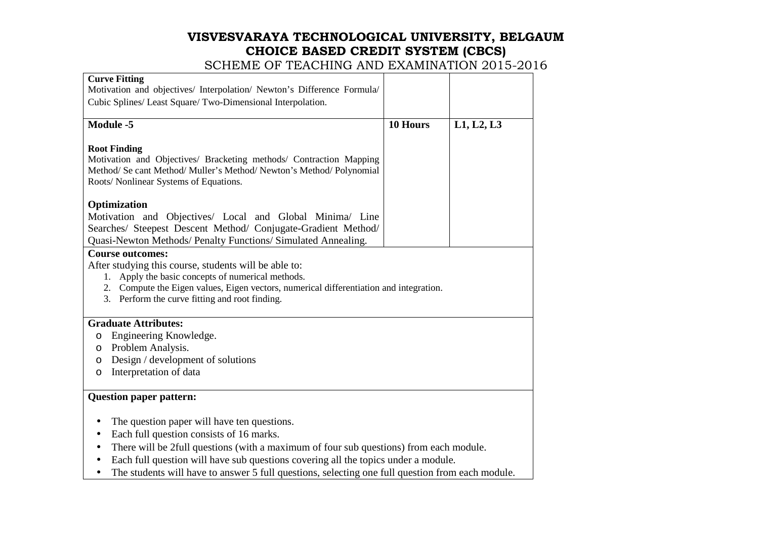# **VISVESVARAYA TECHNOLOGICAL UNIVERSITY, BELGAUM CHOICE BASED CREDIT SYSTEM (CBCS)**  SCHEME OF TEACHING AND EXAMINATION 2015-2016

| <b>Curve Fitting</b>                                                                                                                     |          |            |  |  |  |
|------------------------------------------------------------------------------------------------------------------------------------------|----------|------------|--|--|--|
| Motivation and objectives/ Interpolation/ Newton's Difference Formula/                                                                   |          |            |  |  |  |
| Cubic Splines/ Least Square/ Two-Dimensional Interpolation.                                                                              |          |            |  |  |  |
| <b>Module -5</b>                                                                                                                         | 10 Hours | L1, L2, L3 |  |  |  |
| <b>Root Finding</b>                                                                                                                      |          |            |  |  |  |
| Motivation and Objectives/ Bracketing methods/ Contraction Mapping                                                                       |          |            |  |  |  |
| Method/ Se cant Method/ Muller's Method/ Newton's Method/ Polynomial                                                                     |          |            |  |  |  |
| Roots/ Nonlinear Systems of Equations.                                                                                                   |          |            |  |  |  |
| Optimization                                                                                                                             |          |            |  |  |  |
| Motivation and Objectives/ Local and Global Minima/ Line                                                                                 |          |            |  |  |  |
| Searches/ Steepest Descent Method/ Conjugate-Gradient Method/                                                                            |          |            |  |  |  |
| Quasi-Newton Methods/ Penalty Functions/ Simulated Annealing.                                                                            |          |            |  |  |  |
| <b>Course outcomes:</b>                                                                                                                  |          |            |  |  |  |
| After studying this course, students will be able to:                                                                                    |          |            |  |  |  |
| 1. Apply the basic concepts of numerical methods.                                                                                        |          |            |  |  |  |
| 2. Compute the Eigen values, Eigen vectors, numerical differentiation and integration.<br>3. Perform the curve fitting and root finding. |          |            |  |  |  |
|                                                                                                                                          |          |            |  |  |  |
| <b>Graduate Attributes:</b>                                                                                                              |          |            |  |  |  |
| Engineering Knowledge.<br>O                                                                                                              |          |            |  |  |  |
| Problem Analysis.<br>O                                                                                                                   |          |            |  |  |  |
| Design / development of solutions<br>O                                                                                                   |          |            |  |  |  |
| Interpretation of data<br>O                                                                                                              |          |            |  |  |  |
| <b>Question paper pattern:</b>                                                                                                           |          |            |  |  |  |
| The question paper will have ten questions.<br>$\bullet$                                                                                 |          |            |  |  |  |
| Each full question consists of 16 marks.<br>$\bullet$                                                                                    |          |            |  |  |  |
| There will be 2full questions (with a maximum of four sub questions) from each module.<br>$\bullet$                                      |          |            |  |  |  |
| Each full question will have sub questions covering all the topics under a module.<br>$\bullet$                                          |          |            |  |  |  |
| The students will have to answer 5 full questions, selecting one full question from each module.                                         |          |            |  |  |  |
|                                                                                                                                          |          |            |  |  |  |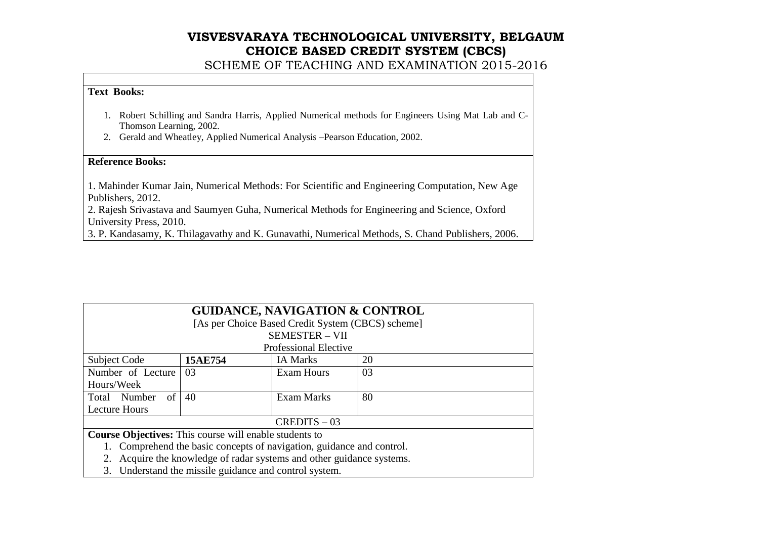SCHEME OF TEACHING AND EXAMINATION 2015-2016

#### **Text Books:**

- 1. Robert Schilling and Sandra Harris, Applied Numerical methods for Engineers Using Mat Lab and C-Thomson Learning, 2002.
- 2. Gerald and Wheatley, Applied Numerical Analysis –Pearson Education, 2002.

#### **Reference Books:**

1. Mahinder Kumar Jain, Numerical Methods: For Scientific and Engineering Computation, New Age Publishers, 2012.

 2. Rajesh Srivastava and Saumyen Guha, Numerical Methods for Engineering and Science, Oxford University Press, 2010.

3. P. Kandasamy, K. Thilagavathy and K. Gunavathi, Numerical Methods, S. Chand Publishers, 2006.

| <b>GUIDANCE, NAVIGATION &amp; CONTROL</b>                                |                               |                                                   |    |  |
|--------------------------------------------------------------------------|-------------------------------|---------------------------------------------------|----|--|
|                                                                          |                               | [As per Choice Based Credit System (CBCS) scheme] |    |  |
|                                                                          |                               | <b>SEMESTER - VII</b>                             |    |  |
|                                                                          |                               | <b>Professional Elective</b>                      |    |  |
| Subject Code                                                             | 15AE754                       | <b>IA Marks</b>                                   | 20 |  |
| Number of Lecture                                                        | 03                            | <b>Exam Hours</b>                                 | 03 |  |
| Hours/Week                                                               |                               |                                                   |    |  |
| of<br>Total Number                                                       | 80<br>40<br><b>Exam Marks</b> |                                                   |    |  |
| <b>Lecture Hours</b>                                                     |                               |                                                   |    |  |
| $CREDITS - 03$                                                           |                               |                                                   |    |  |
| <b>Course Objectives:</b> This course will enable students to            |                               |                                                   |    |  |
| 1. Comprehend the basic concepts of navigation, guidance and control.    |                               |                                                   |    |  |
| Acquire the knowledge of radar systems and other guidance systems.<br>2. |                               |                                                   |    |  |
| 3. Understand the missile guidance and control system.                   |                               |                                                   |    |  |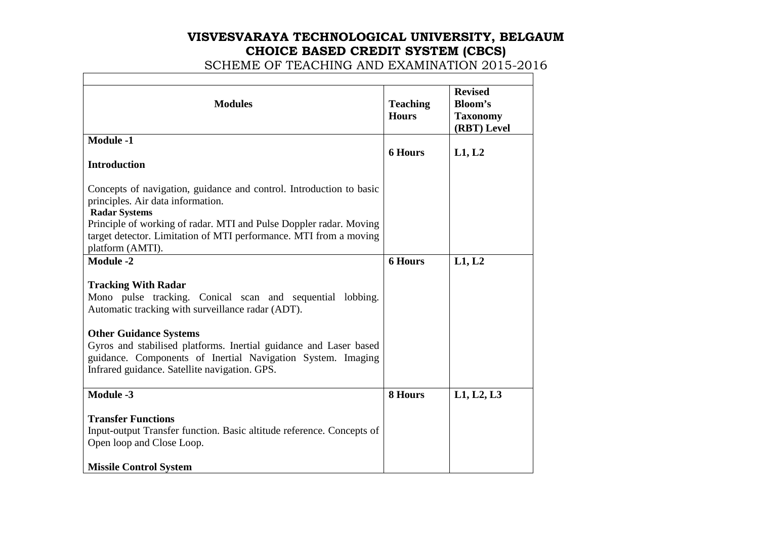| <b>Modules</b>                                                                                                                                                                                                                                                                                                                                                                         | <b>Teaching</b><br><b>Hours</b> | <b>Revised</b><br><b>Bloom's</b><br><b>Taxonomy</b><br>(RBT) Level |
|----------------------------------------------------------------------------------------------------------------------------------------------------------------------------------------------------------------------------------------------------------------------------------------------------------------------------------------------------------------------------------------|---------------------------------|--------------------------------------------------------------------|
| <b>Module -1</b><br><b>Introduction</b>                                                                                                                                                                                                                                                                                                                                                | <b>6 Hours</b>                  | L1, L2                                                             |
| Concepts of navigation, guidance and control. Introduction to basic<br>principles. Air data information.<br><b>Radar Systems</b><br>Principle of working of radar. MTI and Pulse Doppler radar. Moving<br>target detector. Limitation of MTI performance. MTI from a moving<br>platform (AMTI).                                                                                        |                                 |                                                                    |
| <b>Module -2</b><br><b>Tracking With Radar</b><br>Mono pulse tracking. Conical scan and sequential lobbing.<br>Automatic tracking with surveillance radar (ADT).<br><b>Other Guidance Systems</b><br>Gyros and stabilised platforms. Inertial guidance and Laser based<br>guidance. Components of Inertial Navigation System. Imaging<br>Infrared guidance. Satellite navigation. GPS. | <b>6 Hours</b>                  | L1, L2                                                             |
| <b>Module -3</b><br><b>Transfer Functions</b><br>Input-output Transfer function. Basic altitude reference. Concepts of<br>Open loop and Close Loop.<br><b>Missile Control System</b>                                                                                                                                                                                                   | 8 Hours                         | L1, L2, L3                                                         |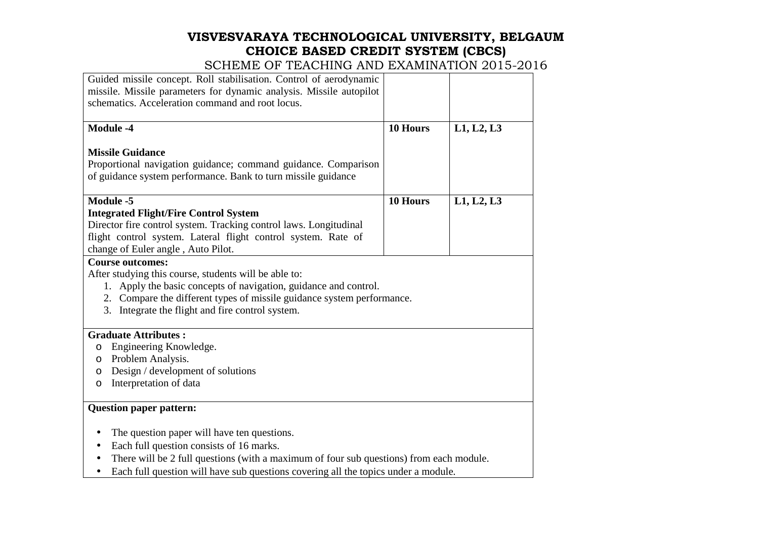# **VISVESVARAYA TECHNOLOGICAL UNIVERSITY, BELGAUM CHOICE BASED CREDIT SYSTEM (CBCS)**  SCHEME OF TEACHING AND EXAMINATION 2015-2016

| Guided missile concept. Roll stabilisation. Control of aerodynamic<br>missile. Missile parameters for dynamic analysis. Missile autopilot<br>schematics. Acceleration command and root locus. |          |            |  |
|-----------------------------------------------------------------------------------------------------------------------------------------------------------------------------------------------|----------|------------|--|
| <b>Module -4</b>                                                                                                                                                                              | 10 Hours | L1, L2, L3 |  |
| <b>Missile Guidance</b><br>Proportional navigation guidance; command guidance. Comparison<br>of guidance system performance. Bank to turn missile guidance                                    |          |            |  |
| Module -5                                                                                                                                                                                     | 10 Hours | L1, L2, L3 |  |
| <b>Integrated Flight/Fire Control System</b>                                                                                                                                                  |          |            |  |
| Director fire control system. Tracking control laws. Longitudinal                                                                                                                             |          |            |  |
| flight control system. Lateral flight control system. Rate of                                                                                                                                 |          |            |  |
| change of Euler angle, Auto Pilot.<br><b>Course outcomes:</b>                                                                                                                                 |          |            |  |
|                                                                                                                                                                                               |          |            |  |
| After studying this course, students will be able to:<br>1. Apply the basic concepts of navigation, guidance and control.                                                                     |          |            |  |
| 2. Compare the different types of missile guidance system performance.                                                                                                                        |          |            |  |
| 3. Integrate the flight and fire control system.                                                                                                                                              |          |            |  |
|                                                                                                                                                                                               |          |            |  |
| <b>Graduate Attributes:</b>                                                                                                                                                                   |          |            |  |
| Engineering Knowledge.<br>O                                                                                                                                                                   |          |            |  |
| Problem Analysis.<br>O                                                                                                                                                                        |          |            |  |
| Design / development of solutions<br>O                                                                                                                                                        |          |            |  |
| Interpretation of data<br>O                                                                                                                                                                   |          |            |  |
| <b>Question paper pattern:</b>                                                                                                                                                                |          |            |  |
| The question paper will have ten questions.                                                                                                                                                   |          |            |  |
| Each full question consists of 16 marks.<br>$\bullet$                                                                                                                                         |          |            |  |
| There will be 2 full questions (with a maximum of four sub questions) from each module.                                                                                                       |          |            |  |
| Each full question will have sub questions covering all the topics under a module.<br>$\bullet$                                                                                               |          |            |  |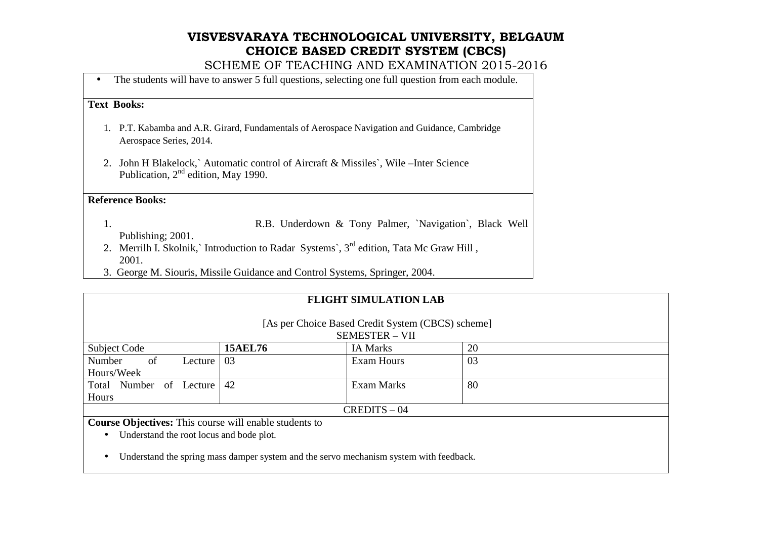SCHEME OF TEACHING AND EXAMINATION 2015-2016

• The students will have to answer 5 full questions, selecting one full question from each module.

#### **Text Books:**

- 1. P.T. Kabamba and A.R. Girard, Fundamentals of Aerospace Navigation and Guidance, Cambridge Aerospace Series, 2014.
- 2. John H Blakelock,` Automatic control of Aircraft & Missiles`, Wile –Inter Science Publication, 2nd edition, May 1990.

#### **Reference Books:**

- 1. R.B. Underdown & Tony Palmer, `Navigation`, Black Well Publishing; 2001.
- 2. Merrilh I. Skolnik,` Introduction to Radar Systems`,  $3<sup>rd</sup>$  edition, Tata Mc Graw Hill, 2001.
- 3. George M. Siouris, Missile Guidance and Control Systems, Springer, 2004.

| <b>FLIGHT SIMULATION LAB</b>                                                           |                                                                            |                   |    |  |
|----------------------------------------------------------------------------------------|----------------------------------------------------------------------------|-------------------|----|--|
|                                                                                        | [As per Choice Based Credit System (CBCS) scheme]<br><b>SEMESTER - VII</b> |                   |    |  |
| Subject Code                                                                           | <b>15AEL76</b>                                                             | <b>IA Marks</b>   | 20 |  |
| of<br>Number<br>Lecture                                                                | 03                                                                         | <b>Exam Hours</b> | 03 |  |
| Hours/Week                                                                             |                                                                            |                   |    |  |
| Total Number of Lecture                                                                | 42                                                                         | <b>Exam Marks</b> | 80 |  |
| Hours                                                                                  |                                                                            |                   |    |  |
|                                                                                        |                                                                            | $CREDITS - 04$    |    |  |
| <b>Course Objectives:</b> This course will enable students to                          |                                                                            |                   |    |  |
| Understand the root locus and bode plot.<br>$\bullet$                                  |                                                                            |                   |    |  |
| Understand the spring mass damper system and the servo mechanism system with feedback. |                                                                            |                   |    |  |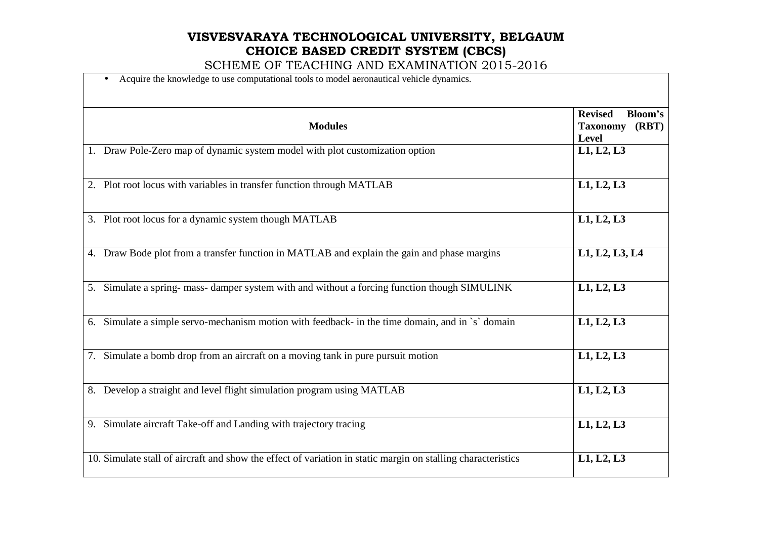| Acquire the knowledge to use computational tools to model aeronautical vehicle dynamics.<br>$\bullet$        |                                                                              |  |
|--------------------------------------------------------------------------------------------------------------|------------------------------------------------------------------------------|--|
| <b>Modules</b>                                                                                               | <b>Revised</b><br><b>Bloom's</b><br>(RBT)<br><b>Taxonomy</b><br><b>Level</b> |  |
| 1. Draw Pole-Zero map of dynamic system model with plot customization option                                 | L1, L2, L3                                                                   |  |
| 2. Plot root locus with variables in transfer function through MATLAB                                        | L1, L2, L3                                                                   |  |
| 3. Plot root locus for a dynamic system though MATLAB                                                        | L1, L2, L3                                                                   |  |
| 4. Draw Bode plot from a transfer function in MATLAB and explain the gain and phase margins                  | L1, L2, L3, L4                                                               |  |
| 5. Simulate a spring- mass- damper system with and without a forcing function though SIMULINK                | L1, L2, L3                                                                   |  |
| 6. Simulate a simple servo-mechanism motion with feedback- in the time domain, and in `s` domain             | L1, L2, L3                                                                   |  |
| 7. Simulate a bomb drop from an aircraft on a moving tank in pure pursuit motion                             | L1, L2, L3                                                                   |  |
| 8. Develop a straight and level flight simulation program using MATLAB                                       | L1, L2, L3                                                                   |  |
| 9. Simulate aircraft Take-off and Landing with trajectory tracing                                            | L1, L2, L3                                                                   |  |
| 10. Simulate stall of aircraft and show the effect of variation in static margin on stalling characteristics | L1, L2, L3                                                                   |  |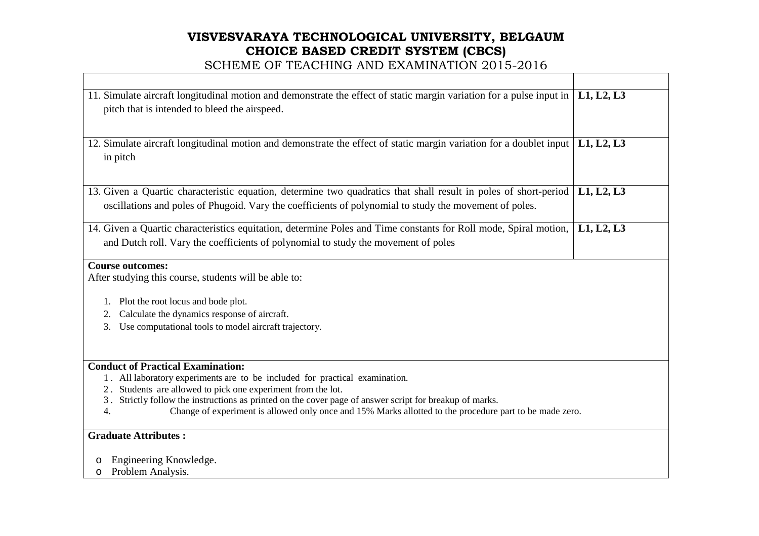#### SCHEME OF TEACHING AND EXAMINATION 2015-2016

| 11. Simulate aircraft longitudinal motion and demonstrate the effect of static margin variation for a pulse input in<br>pitch that is intended to bleed the airspeed.                                                                                                                                                                                                                                                  | L1, L2, L3 |  |  |  |
|------------------------------------------------------------------------------------------------------------------------------------------------------------------------------------------------------------------------------------------------------------------------------------------------------------------------------------------------------------------------------------------------------------------------|------------|--|--|--|
| 12. Simulate aircraft longitudinal motion and demonstrate the effect of static margin variation for a doublet input<br>in pitch                                                                                                                                                                                                                                                                                        | L1, L2, L3 |  |  |  |
| 13. Given a Quartic characteristic equation, determine two quadratics that shall result in poles of short-period<br>oscillations and poles of Phugoid. Vary the coefficients of polynomial to study the movement of poles.                                                                                                                                                                                             | L1, L2, L3 |  |  |  |
| 14. Given a Quartic characteristics equitation, determine Poles and Time constants for Roll mode, Spiral motion,<br>and Dutch roll. Vary the coefficients of polynomial to study the movement of poles                                                                                                                                                                                                                 | L1, L2, L3 |  |  |  |
| <b>Course outcomes:</b><br>After studying this course, students will be able to:                                                                                                                                                                                                                                                                                                                                       |            |  |  |  |
| Plot the root locus and bode plot.<br>1.<br>Calculate the dynamics response of aircraft.<br>2.<br>Use computational tools to model aircraft trajectory.<br>3.                                                                                                                                                                                                                                                          |            |  |  |  |
| <b>Conduct of Practical Examination:</b><br>1. All laboratory experiments are to be included for practical examination.<br>Students are allowed to pick one experiment from the lot.<br>2.<br>3. Strictly follow the instructions as printed on the cover page of answer script for breakup of marks.<br>Change of experiment is allowed only once and 15% Marks allotted to the procedure part to be made zero.<br>4. |            |  |  |  |
| <b>Graduate Attributes:</b><br>Engineering Knowledge.<br>$\circ$<br>D 11 1                                                                                                                                                                                                                                                                                                                                             |            |  |  |  |

o Problem Analysis.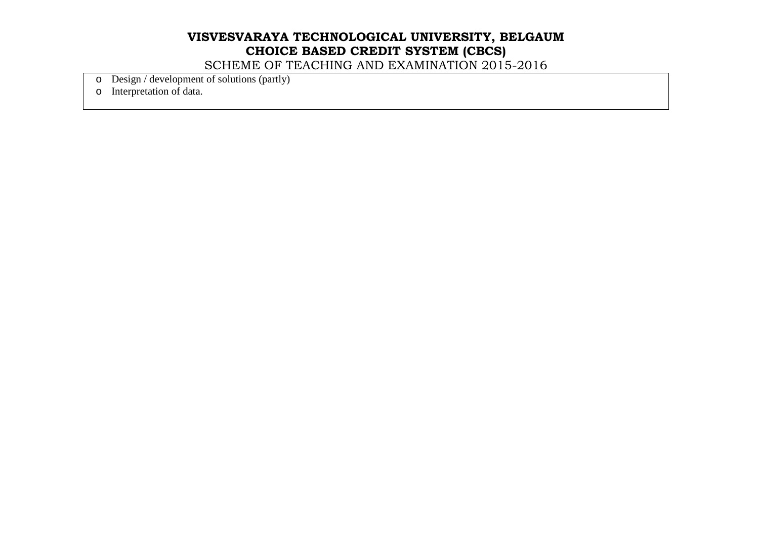SCHEME OF TEACHING AND EXAMINATION 2015-2016

 $\circ$  Design / development of solutions (partly)

o Interpretation of data.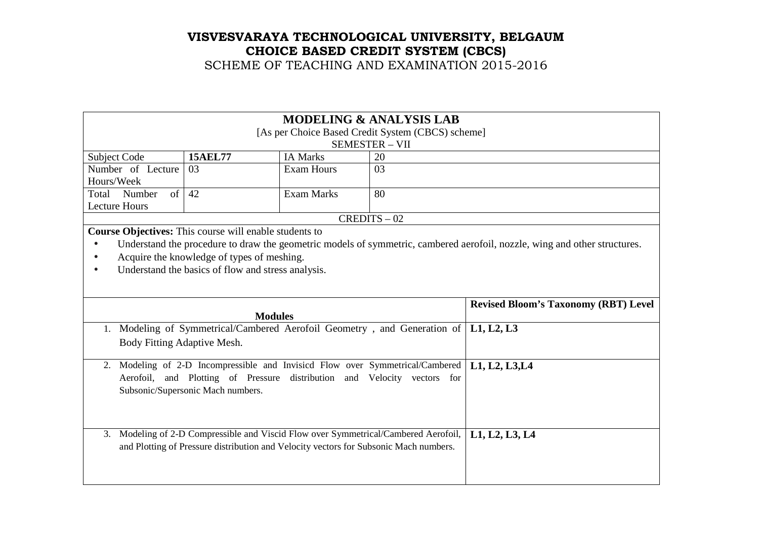| <b>MODELING &amp; ANALYSIS LAB</b>                     |                                                                                       |                   |                                                                                  |                                                                                                                           |  |
|--------------------------------------------------------|---------------------------------------------------------------------------------------|-------------------|----------------------------------------------------------------------------------|---------------------------------------------------------------------------------------------------------------------------|--|
| [As per Choice Based Credit System (CBCS) scheme]      |                                                                                       |                   |                                                                                  |                                                                                                                           |  |
| <b>SEMESTER - VII</b>                                  |                                                                                       |                   |                                                                                  |                                                                                                                           |  |
| Subject Code                                           | <b>15AEL77</b>                                                                        | <b>IA Marks</b>   | 20                                                                               |                                                                                                                           |  |
| Number of Lecture                                      | 03                                                                                    | <b>Exam Hours</b> | 03                                                                               |                                                                                                                           |  |
| Hours/Week                                             |                                                                                       |                   |                                                                                  |                                                                                                                           |  |
| Total Number<br>of                                     | 42                                                                                    | <b>Exam Marks</b> | 80                                                                               |                                                                                                                           |  |
| <b>Lecture Hours</b>                                   |                                                                                       |                   |                                                                                  |                                                                                                                           |  |
|                                                        |                                                                                       |                   | $CREDITS - 02$                                                                   |                                                                                                                           |  |
| Course Objectives: This course will enable students to |                                                                                       |                   |                                                                                  |                                                                                                                           |  |
| $\bullet$                                              |                                                                                       |                   |                                                                                  | Understand the procedure to draw the geometric models of symmetric, cambered aerofoil, nozzle, wing and other structures. |  |
| Acquire the knowledge of types of meshing.             |                                                                                       |                   |                                                                                  |                                                                                                                           |  |
|                                                        | Understand the basics of flow and stress analysis.                                    |                   |                                                                                  |                                                                                                                           |  |
|                                                        |                                                                                       |                   |                                                                                  |                                                                                                                           |  |
|                                                        |                                                                                       |                   |                                                                                  | <b>Revised Bloom's Taxonomy (RBT) Level</b>                                                                               |  |
|                                                        | <b>Modules</b>                                                                        |                   |                                                                                  |                                                                                                                           |  |
|                                                        |                                                                                       |                   |                                                                                  |                                                                                                                           |  |
| 1.                                                     |                                                                                       |                   | Modeling of Symmetrical/Cambered Aerofoil Geometry, and Generation of            | L1, L2, L3                                                                                                                |  |
| Body Fitting Adaptive Mesh.                            |                                                                                       |                   |                                                                                  |                                                                                                                           |  |
|                                                        |                                                                                       |                   |                                                                                  |                                                                                                                           |  |
|                                                        |                                                                                       |                   | 2. Modeling of 2-D Incompressible and Invisicd Flow over Symmetrical/Cambered    | L1, L2, L3, L4                                                                                                            |  |
|                                                        |                                                                                       |                   | Aerofoil, and Plotting of Pressure distribution and Velocity vectors for         |                                                                                                                           |  |
|                                                        | Subsonic/Supersonic Mach numbers.                                                     |                   |                                                                                  |                                                                                                                           |  |
|                                                        |                                                                                       |                   |                                                                                  |                                                                                                                           |  |
|                                                        |                                                                                       |                   |                                                                                  |                                                                                                                           |  |
| $\mathfrak{Z}$ .                                       |                                                                                       |                   |                                                                                  |                                                                                                                           |  |
|                                                        |                                                                                       |                   | Modeling of 2-D Compressible and Viscid Flow over Symmetrical/Cambered Aerofoil, | L1, L2, L3, L4                                                                                                            |  |
|                                                        | and Plotting of Pressure distribution and Velocity vectors for Subsonic Mach numbers. |                   |                                                                                  |                                                                                                                           |  |
|                                                        |                                                                                       |                   |                                                                                  |                                                                                                                           |  |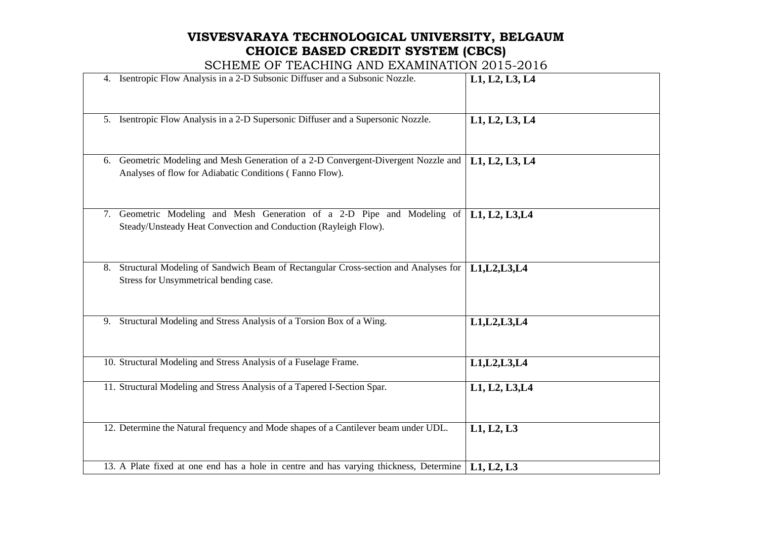| 4. Isentropic Flow Analysis in a 2-D Subsonic Diffuser and a Subsonic Nozzle.                                                                 | L1, L2, L3, L4 |
|-----------------------------------------------------------------------------------------------------------------------------------------------|----------------|
| 5. Isentropic Flow Analysis in a 2-D Supersonic Diffuser and a Supersonic Nozzle.                                                             | L1, L2, L3, L4 |
| 6. Geometric Modeling and Mesh Generation of a 2-D Convergent-Divergent Nozzle and<br>Analyses of flow for Adiabatic Conditions (Fanno Flow). | L1, L2, L3, L4 |
| 7. Geometric Modeling and Mesh Generation of a 2-D Pipe and Modeling of<br>Steady/Unsteady Heat Convection and Conduction (Rayleigh Flow).    | L1, L2, L3, L4 |
| 8. Structural Modeling of Sandwich Beam of Rectangular Cross-section and Analyses for<br>Stress for Unsymmetrical bending case.               | L1, L2, L3, L4 |
| 9. Structural Modeling and Stress Analysis of a Torsion Box of a Wing.                                                                        | L1, L2, L3, L4 |
| 10. Structural Modeling and Stress Analysis of a Fuselage Frame.                                                                              | L1, L2, L3, L4 |
| 11. Structural Modeling and Stress Analysis of a Tapered I-Section Spar.                                                                      | L1, L2, L3, L4 |
| 12. Determine the Natural frequency and Mode shapes of a Cantilever beam under UDL.                                                           | L1, L2, L3     |
| 13. A Plate fixed at one end has a hole in centre and has varying thickness, Determine                                                        | L1, L2, L3     |